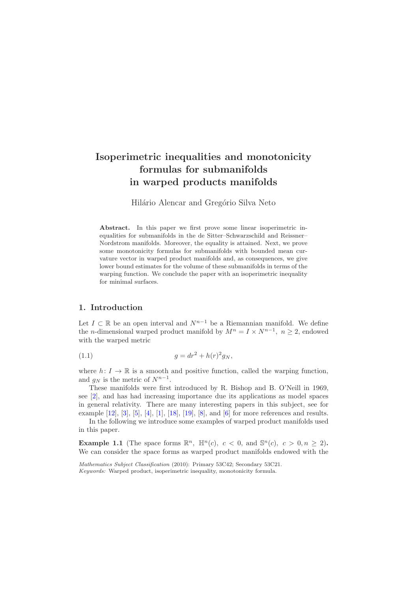# **Isoperimetric inequalities and monotonicity formulas for submanifolds in warped products manifolds**

Hilário Alencar and Gregório Silva Neto

**Abstract.** In this paper we first prove some linear isoperimetric inequalities for submanifolds in the de Sitter–Schwarzschild and Reissner– Nordstrom manifolds. Moreover, the equality is attained. Next, we prove some monotonicity formulas for submanifolds with bounded mean curvature vector in warped product manifolds and, as consequences, we give lower bound estimates for the volume of these submanifolds in terms of the warping function. We conclude the paper with an isoperimetric inequality for minimal surfaces.

## **1. Introduction**

Let  $I \subset \mathbb{R}$  be an open interval and  $N^{n-1}$  be a Riemannian manifold. We define the *n*-dimensional warped product manifold by  $M^n = I \times N^{n-1}$ ,  $n \geq 2$ , endowed with the warped metric

<span id="page-0-0"></span>(1.1) 
$$
g = dr^2 + h(r)^2 g_N,
$$

where  $h: I \to \mathbb{R}$  is a smooth and positive function, called the warping function, and  $q_N$  is the metric of  $N^{n-1}$ .

These manifolds were first introduced by R. Bishop and B. O'Neill in 1969, see [\[2\]](#page-30-0), and has had increasing importance due its applications as model spaces in general relativity. There are many interesting papers in this subject, see for example [\[12\]](#page-30-1), [\[3\]](#page-30-2), [\[5\]](#page-30-3), [\[4\]](#page-30-4), [\[1\]](#page-30-5), [\[18\]](#page-31-0), [\[19\]](#page-31-1), [\[8\]](#page-30-6), and [\[6\]](#page-30-7) for more references and results.

In the following we introduce some examples of warped product manifolds used in this paper.

**Example 1.1** (The space forms  $\mathbb{R}^n$ ,  $\mathbb{H}^n(c)$ ,  $c < 0$ , and  $\mathbb{S}^n(c)$ ,  $c > 0, n \ge 2$ ). We can consider the space forms as warped product manifolds endowed with the

*Mathematics Subject Classification* (2010): Primary 53C42; Secondary 53C21. *Keywords:* Warped product, isoperimetric inequality, monotonicity formula.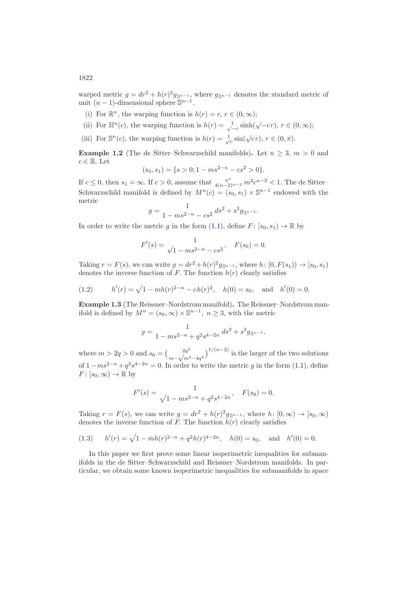warped metric  $g = dr^2 + h(r)^2 g_{\mathbb{S}^{n-1}}$ , where  $g_{\mathbb{S}^{n-1}}$  denotes the standard metric of unit  $(n-1)$ -dimensional sphere  $\mathbb{S}^{n-1}$ .

- (i) For  $\mathbb{R}^n$ , the warping function is  $h(r) = r, r \in (0, \infty);$
- (ii) For  $\mathbb{H}^n(c)$ , the warping function is  $h(r) = \frac{1}{\sqrt{-c}} \sinh(\sqrt{-c}r)$ ,  $r \in (0, \infty)$ ;
- (iii) For  $\mathbb{S}^n(c)$ , the warping function is  $h(r) = \frac{1}{\sqrt{c}} \sin(\sqrt{c}r)$ ,  $r \in (0, \pi)$ .

**Example 1.2** (The de Sitter–Schwarzschild manifolds). Let  $n \geq 3$ ,  $m > 0$  and  $c \in \mathbb{R}$ . Let

$$
(s_0, s_1) = \{ s > 0; 1 - ms^{2-n} - cs^2 > 0 \}.
$$

If  $c \leq 0$ , then  $s_1 = \infty$ . If  $c > 0$ , assume that  $\frac{n^n}{4(n-2)^{n-2}} m^2 c^{n-2} < 1$ . The de Sitter-Schwarzschild manifold is defined by  $M^n(c)=(s_0, s_1) \times \mathbb{S}^{n-1}$  endowed with the metric

$$
g = \frac{1}{1 - ms^{2-n} - cs^2} ds^2 + s^2 g_{\mathbb{S}^{n-1}}.
$$

In order to write the metric g in the form [\(1.1\)](#page-0-0), define  $F: [s_0, s_1) \to \mathbb{R}$  by

$$
F'(s) = \frac{1}{\sqrt{1 - ms^{2-n} - cs^2}}, \quad F(s_0) = 0.
$$

Taking  $r = F(s)$ , we can write  $g = dr^2 + h(r)^2 g_{\mathbb{S}^{n-1}}$ , where  $h: [0, F(s_1)) \to [s_0, s_1)$ denotes the inverse function of F. The function  $h(r)$  clearly satisfies

<span id="page-1-0"></span>(1.2) 
$$
h'(r) = \sqrt{1 - mh(r)^{2-n} - ch(r)^2}, \quad h(0) = s_0, \text{ and } h'(0) = 0.
$$

**Example 1.3** (The Reissner–Nordstrom manifold)**.** The Reissner–Nordstrom manifold is defined by  $M^n = (s_0, \infty) \times \mathbb{S}^{n-1}$ ,  $n \geq 3$ , with the metric

$$
g = \frac{1}{1 - ms^{2-n} + q^2 s^{4-2n}} ds^2 + s^2 g_{\mathbb{S}^{n-1}},
$$

where  $m > 2q > 0$  and  $s_0 = \left(\frac{2q^2}{m-\sqrt{m^2-4q^2}}\right)^{1/(n-2)}$  is the larger of the two solutions of  $1 - ms^{2-n} + q^2 s^{4-2n} = 0$ . In order to write the metric g in the form [\(1.1\)](#page-0-0), define  $F: [s_0, \infty) \to \mathbb{R}$  by

$$
F'(s) = \frac{1}{\sqrt{1 - ms^{2-n} + q^2 s^{4-2n}}}, \quad F(s_0) = 0.
$$

Taking  $r = F(s)$ , we can write  $g = dr^2 + h(r)^2 g_{\mathbb{S}^{n-1}}$ , where  $h: [0, \infty) \to [s_0, \infty)$ denotes the inverse function of F. The function  $h(r)$  clearly satisfies

<span id="page-1-1"></span>(1.3) 
$$
h'(r) = \sqrt{1 - mh(r)^{2-n} + q^2h(r)^{4-2n}}, \quad h(0) = s_0, \text{ and } h'(0) = 0.
$$

In this paper we first prove some linear isoperimetric inequalities for submanifolds in the de Sitter–Schwarzschild and Reissner–Nordstrom manifolds. In particular, we obtain some known isoperimetric inequalities for submanifolds in space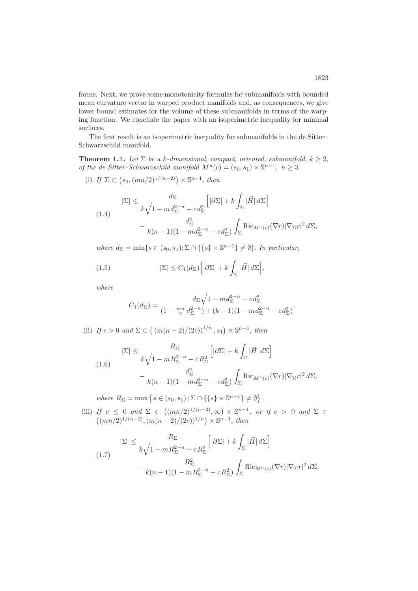forms. Next, we prove some monotonicity formulas for submanifolds with bounded mean curvature vector in warped product manifolds and, as consequences, we give lower bound estimates for the volume of these submanifolds in terms of the warping function. We conclude the paper with an isoperimetric inequality for minimal surfaces.

The first result is an isoperimetric inequality for submanifolds in the de Sitter– Schwarzschild manifold.

<span id="page-2-4"></span>**Theorem 1.1.** *Let*  $\Sigma$  *be a k*-dimensional, compact, oriented, submanifold,  $k \geq 2$ , *of the de Sitter–Schwarzschild manifold*  $M^{n}(c)=(s_0, s_1) \times \mathbb{S}^{n-1}, n \geq 3$ .

(i) *If*  $\Sigma \subset (s_0, (mn/2)^{1/(n-2)}) \times \mathbb{S}^{n-1}$ , *then* 

<span id="page-2-0"></span>
$$
|\Sigma| \leq \frac{d_{\Sigma}}{k\sqrt{1 - md_{\Sigma}^{2-n} - cd_{\Sigma}^2}} \left[|\partial \Sigma| + k \int_{\Sigma} |\vec{H}| d\Sigma\right]
$$

$$
- \frac{d_{\Sigma}^2}{k(n-1)(1 - md_{\Sigma}^{2-n} - cd_{\Sigma}^2)} \int_{\Sigma} \text{Ric}_{M^n(c)}(\nabla r) |\nabla_{\Sigma} r|^2 d\Sigma,
$$

*where*  $d_{\Sigma} = \min\{s \in (s_0, s_1); \Sigma \cap \{\{s\} \times \mathbb{S}^{n-1}\}\neq \emptyset\}$ . *In particular,* 

(1.5) 
$$
|\Sigma| \leq C_1(d_{\Sigma}) \Big[ |\partial \Sigma| + k \int_{\Sigma} |\vec{H}| d\Sigma \Big]
$$

*where*

<span id="page-2-3"></span>
$$
C_1(d_{\Sigma}) = \frac{d_{\Sigma}\sqrt{1 - md_{\Sigma}^{2-n} - cd_{\Sigma}^2}}{(1 - \frac{mn}{2}d_{\Sigma}^{2-n}) + (k-1)(1 - md_{\Sigma}^{2-n} - cd_{\Sigma}^2)}
$$

,

.

(ii) *If*  $c > 0$  *and*  $\Sigma \subset ((m(n-2)/(2c))^{1/n}, s_1) \times \mathbb{S}^{n-1},$  *then* 

<span id="page-2-1"></span>
$$
|\Sigma| \leq \frac{R_{\Sigma}}{k\sqrt{1 - mR_{\Sigma}^{2-n} - cR_{\Sigma}^{2}}} \left[|\partial\Sigma| + k \int_{\Sigma} |\vec{H}| d\Sigma\right]
$$

$$
- \frac{d_{\Sigma}^{2}}{k(n-1)(1 - md_{\Sigma}^{2-n} - cd_{\Sigma}^{2})} \int_{\Sigma} \text{Ric}_{M^{n}(c)}(\nabla r) |\nabla_{\Sigma} r|^{2} d\Sigma,
$$

where  $R_{\Sigma} = \max \{ s \in (s_0, s_1) ; \Sigma \cap \{ \{ s \} \times \mathbb{S}^{n-1} \} \neq \emptyset \}.$ 

(iii) *If*  $c \le 0$  *and*  $\Sigma \in ((mn/2)^{1/(n-2)}, \infty) \times \mathbb{S}^{n-1}$ , *or if*  $c > 0$  *and*  $\Sigma \subset$  $((mn/2)^{1/(n-2)},(m(n-2)/(2c))^{1/n}) \times \mathbb{S}^{n-1},\$  then

<span id="page-2-2"></span>
$$
|\Sigma| \leq \frac{R_{\Sigma}}{k\sqrt{1 - mR_{\Sigma}^{2-n} - cR_{\Sigma}^{2}}} \left[|\partial\Sigma| + k\int_{\Sigma}|\vec{H}| d\Sigma\right]
$$
  

$$
-\frac{R_{\Sigma}^{2}}{k(n-1)(1 - mR_{\Sigma}^{2-n} - cR_{\Sigma}^{2})}\int_{\Sigma} \text{Ric}_{M^{n}(c)}(\nabla r)|\nabla_{\Sigma}r|^{2} d\Sigma.
$$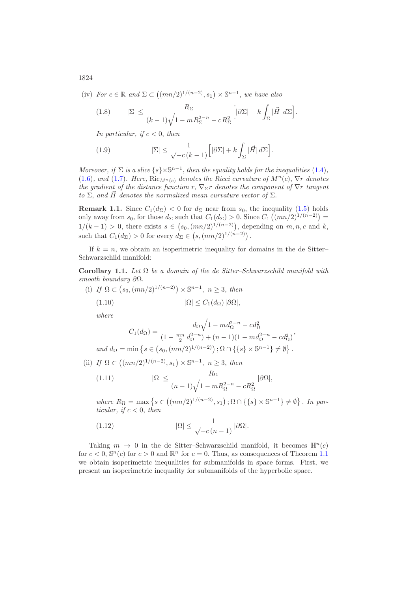(iv) *For*  $c \in \mathbb{R}$  and  $\Sigma \subset ((mn/2)^{1/(n-2)}, s_1) \times \mathbb{S}^{n-1}$ , we have also

<span id="page-3-1"></span>(1.8) 
$$
|\Sigma| \leq \frac{R_{\Sigma}}{(k-1)\sqrt{1-mR_{\Sigma}^{2-n}-cR_{\Sigma}^2}} \Big[|\partial\Sigma| + k \int_{\Sigma} |\vec{H}| d\Sigma\Big].
$$

*In particular, if*  $c < 0$ *, then* 

<span id="page-3-2"></span>(1.9) 
$$
|\Sigma| \leq \frac{1}{\sqrt{-c(k-1)}} \Big[ |\partial \Sigma| + k \int_{\Sigma} |\vec{H}| d\Sigma \Big].
$$

*Moreover, if*  $\Sigma$  *is a slice*  $\{s\}\times\mathbb{S}^{n-1}$ *, then the equality holds for the inequalities* [\(1.4\)](#page-2-0)*,* [\(1.6\)](#page-2-1)*, and* (1.7*). Here,* Ric $_{M^n(c)}$  *denotes the Ricci curvature of*  $M^n(c)$ *,*  $\nabla r$  *denotes the gradient of the distance function*  $r, \nabla_{\Sigma} r$  *denotes the component of*  $\nabla r$  *tangent to*  $\Sigma$ , and  $\tilde{H}$  denotes the normalized mean curvature vector of  $\Sigma$ .

**Remark 1.1.** Since  $C_1(d_{\Sigma}) < 0$  for  $d_{\Sigma}$  near from  $s_0$ , the inequality [\(1.5\)](#page-2-3) holds only away from  $s_0$ , for those  $d_{\Sigma}$  such that  $C_1(d_{\Sigma}) > 0$ . Since  $C_1((mn/2)^{1/(n-2)}) =$  $1/(k-1) > 0$ , there exists  $s \in (s_0, (mn/2)^{1/(n-2)})$ , depending on  $m, n, c$  and  $k$ , such that  $C_1(d_{\Sigma}) > 0$  for every  $d_{\Sigma} \in (s, (mn/2)^{1/(n-2)})$ .

If  $k = n$ , we obtain an isoperimetric inequality for domains in the de Sitter-Schwarzschild manifold:

**Corollary 1.1.** *Let* Ω *be a domain of the de Sitter–Schwarzschild manifold with smooth boundary* ∂Ω.

(i) If 
$$
\Omega \subset (s_0, (mn/2)^{1/(n-2)}) \times \mathbb{S}^{n-1}
$$
,  $n \ge 3$ , then  
(1.10)  $|\Omega| \le C_1(d_{\Omega}) |\partial \Omega|$ ,

*where*

$$
C_1(d_{\Omega}) = \frac{d_{\Omega} \sqrt{1 - m d_{\Omega}^{2-n} - c d_{\Omega}^2}}{(1 - \frac{mn}{2} d_{\Omega}^{2-n}) + (n - 1)(1 - m d_{\Omega}^{2-n} - c d_{\Omega}^2)},
$$
  
\n
$$
\min \left\{ s \in (s_0, (mn/2)^{1/(n-2)}) ; \Omega \cap \left\{ \{s\} \times \mathbb{S}^{n-1} \right\} \neq \emptyset \right\}.
$$

*and*  $d_{\Omega} = \min \left\{ s \in (s_0, (mn/2)^{1/(n-2)}) ; \Omega \cap \{ \{ s \} \times \mathbb{S}^{n-1} \} \neq \emptyset \right\}$ 

(ii) *If*  $\Omega \subset ((mn/2)^{1/(n-2)}, s_1) \times \mathbb{S}^{n-1}, n \geq 3$ , *then* 

(1.11) 
$$
|\Omega| \leq \frac{R_{\Omega}}{(n-1)\sqrt{1 - mR_{\Omega}^{2-n} - cR_{\Omega}^2}} |\partial \Omega|,
$$

*where*  $R_{Ω} = \max \{ s \in ((mn/2)^{1/(n-2)}, s_1) ; Ω ∩ \{ \{ s \} × \mathbb{S}^{n-1} \} ≠ ∅ \}$ . *In particular, if*  $c < 0$ *, then* 

<span id="page-3-0"></span>(1.12) 
$$
|\Omega| \leq \frac{1}{\sqrt{-c(n-1)}} |\partial \Omega|.
$$

Taking  $m \to 0$  in the de Sitter–Schwarzschild manifold, it becomes  $\mathbb{H}^n(c)$ for  $c < 0$ ,  $\mathbb{S}^n(c)$  for  $c > 0$  and  $\mathbb{R}^n$  for  $c = 0$ . Thus, as consequences of Theorem [1.1](#page-2-4) we obtain isoperimetric inequalities for submanifolds in space forms. First, we present an isoperimetric inequality for submanifolds of the hyperbolic space.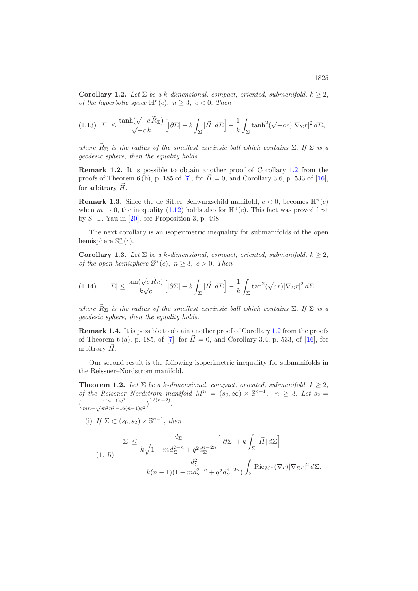<span id="page-4-0"></span>**Corollary 1.2.** *Let*  $\Sigma$  *be a k*-dimensional, compact, oriented, submanifold,  $k \geq 2$ , *of the hyperbolic space*  $\mathbb{H}^n(c)$ ,  $n \geq 3$ ,  $c < 0$ . *Then* 

$$
(1.13)\ |\Sigma|\leq \frac{\tanh(\sqrt{-c}\,\widetilde{R}_\Sigma)}{\sqrt{-c}\,k}\Big[|\partial\Sigma|+k\int_\Sigma |\vec{H}|\,d\Sigma\Big]+\frac{1}{k}\int_\Sigma\tanh^2(\sqrt{-c}r)|\nabla_\Sigma r|^2\,d\Sigma,
$$

*where*  $\widetilde{R}_{\Sigma}$  *is the radius of the smallest extrinsic ball which contains*  $\Sigma$ . *If*  $\Sigma$  *is a geodesic sphere, then the equality holds.*

**Remark [1.2](#page-4-0).** It is possible to obtain another proof of Corollary 1.2 from the proofs of Theorem 6 (b), p. 185 of [\[7\]](#page-30-8), for  $\vec{H} = 0$ , and Corollary 3.6, p. 533 of [\[16\]](#page-30-9), for arbitrary  $\vec{H}$ .

**Remark 1.3.** Since the de Sitter–Schwarzschild manifold,  $c < 0$ , becomes  $\mathbb{H}^{n}(c)$ when  $m \to 0$ , the inequality [\(1.12\)](#page-3-0) holds also for  $\mathbb{H}^n(c)$ . This fact was proved first by S.-T. Yau in [\[20\]](#page-31-2), see Proposition 3, p. 498.

The next corollary is an isoperimetric inequality for submanifolds of the open hemisphere  $\mathbb{S}^n_+(c)$ .

<span id="page-4-3"></span>**Corollary 1.3.** *Let*  $\Sigma$  *be a k*-dimensional, compact, oriented, submanifold,  $k \geq 2$ , *of the open hemisphere*  $\mathbb{S}^n_+(c)$ ,  $n \geq 3$ ,  $c > 0$ . *Then* 

$$
(1.14) \qquad |\Sigma| \le \frac{\tan(\sqrt{c}\widetilde{R}_{\Sigma})}{k\sqrt{c}} \Big[|\partial\Sigma| + k \int_{\Sigma} |\vec{H}| \, d\Sigma \Big] - \frac{1}{k} \int_{\Sigma} \tan^2(\sqrt{c}r) |\nabla_{\Sigma}r|^2 \, d\Sigma,
$$

*where*  $\widetilde{R}_{\Sigma}$  *is the radius of the smallest extrinsic ball which contains*  $\Sigma$ . *If*  $\Sigma$  *is a geodesic sphere, then the equality holds.*

**Remark 1.4.** It is possible to obtain another proof of Corollary [1.2](#page-4-0) from the proofs of Theorem 6 (a), p. 185, of [\[7\]](#page-30-8), for  $\vec{H} = 0$ , and Corollary 3.4, p. 533, of [\[16\]](#page-30-9), for arbitrary  $\vec{H}$ .

Our second result is the following isoperimetric inequality for submanifolds in the Reissner–Nordstrom manifold.

<span id="page-4-2"></span>**Theorem 1.2.** Let  $\Sigma$  be a k-dimensional, compact, oriented, submanifold,  $k \geq 2$ , *of the Reissner–Nordstrom manifold*  $M^n = (s_0, \infty) \times \mathbb{S}^{n-1}$ ,  $n \geq 3$ . Let  $s_2 =$  $\int \frac{4(n-1)q^2}{(1-q)^2}$  $_{mn-\sqrt{m^2n^2-16(n-1)q^2}}^{4(n-1)q^2}$ 

(i) *If*  $\Sigma \subset (s_0, s_2) \times \mathbb{S}^{n-1}$ , *then* 

<span id="page-4-1"></span>
$$
|\Sigma| \le \frac{d_{\Sigma}}{k\sqrt{1 - md_{\Sigma}^{2-n} + q^2 d_{\Sigma}^{4-2n}}}\left[|\partial \Sigma| + k \int_{\Sigma} |\vec{H}| d\Sigma\right]
$$

$$
-\frac{d_{\Sigma}^2}{k(n-1)(1 - md_{\Sigma}^{2-n} + q^2 d_{\Sigma}^{4-2n})} \int_{\Sigma} \text{Ric}_{M^n}(\nabla r) |\nabla_{\Sigma} r|^2 d\Sigma.
$$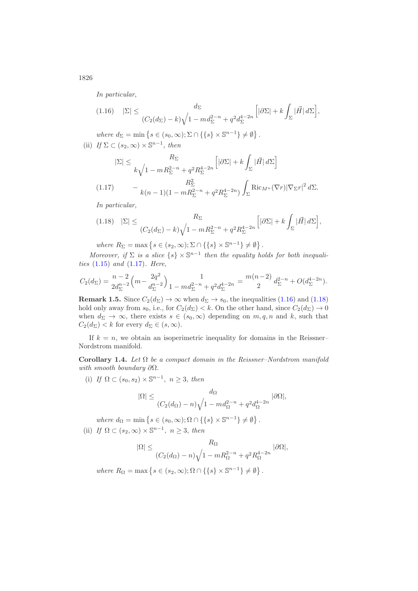*In particular,*

<span id="page-5-1"></span>
$$
(1.16) \quad |\Sigma| \leq \frac{d_{\Sigma}}{(C_2(d_{\Sigma}) - k)\sqrt{1 - md_{\Sigma}^{2-n} + q^2 d_{\Sigma}^{4-2n}}} \Big[|\partial \Sigma| + k \int_{\Sigma} |\vec{H}| \, d\Sigma \Big],
$$

where  $d_{\Sigma} = \min \left\{ s \in (s_0, \infty); \Sigma \cap \{ \{ s \} \times \mathbb{S}^{n-1} \} \neq \emptyset \right\}.$ (ii) *If*  $\Sigma \subset (s_2, \infty) \times \mathbb{S}^{n-1}$ , *then* 

$$
|\Sigma| \leq \frac{R_{\Sigma}}{k\sqrt{1 - mR_{\Sigma}^{2-n} + q^2R_{\Sigma}^{4-2n}}} \left[|\partial\Sigma| + k \int_{\Sigma} |\vec{H}| d\Sigma\right]
$$
  
(1.17) 
$$
- \frac{R_{\Sigma}^2}{k(n-1)(1 - mR_{\Sigma}^{2-n} + q^2R_{\Sigma}^{4-2n})} \int_{\Sigma} \text{Ric}_{M^n}(\nabla r) |\nabla_{\Sigma} r|^2 d\Sigma.
$$

<span id="page-5-0"></span>*In particular,*

<span id="page-5-2"></span>
$$
(1.18) \quad |\Sigma| \leq \frac{R_{\Sigma}}{(C_2(d_{\Sigma}) - k)\sqrt{1 - mR_{\Sigma}^{2-n} + q^2R_{\Sigma}^{4-2n}}} \Big[|\partial \Sigma| + k \int_{\Sigma} |\vec{H}| \, d\Sigma \Big],
$$

where  $R_{\Sigma} = \max \{ s \in (s_2, \infty); \Sigma \cap \{ \{ s \} \times \mathbb{S}^{n-1} \} \neq \emptyset \}.$ 

*Moreover, if*  $\Sigma$  *is a slice*  $\{s\} \times \mathbb{S}^{n-1}$  *then the equality holds for both inequalities* [\(1.15\)](#page-4-1) *and* [\(1.17\)](#page-5-0)*. Here,*

$$
C_2(d_{\Sigma}) = \frac{n-2}{2d_{\Sigma}^{n-2}} \left( m - \frac{2q^2}{d_{\Sigma}^{n-2}} \right) \frac{1}{1 - md_{\Sigma}^{2-n} + q^2 d_{\Sigma}^{4-2n}} = \frac{m(n-2)}{2} d_{\Sigma}^{2-n} + O(d_{\Sigma}^{4-2n}).
$$

**Remark 1.5.** Since  $C_2(d_{\Sigma}) \rightarrow \infty$  when  $d_{\Sigma} \rightarrow s_0$ , the inequalities [\(1.16\)](#page-5-1) and [\(1.18\)](#page-5-2) hold only away from  $s_0$ , i.e., for  $C_2(d_{\Sigma}) < k$ . On the other hand, since  $C_2(d_{\Sigma}) \to 0$ when  $d_{\Sigma} \to \infty$ , there exists  $s \in (s_0, \infty)$  depending on  $m, q, n$  and k, such that  $C_2(d_\Sigma) < k$  for every  $d_\Sigma \in (s, \infty)$ .

If  $k = n$ , we obtain an isoperimetric inequality for domains in the Reissner– Nordstrom manifold.

**Corollary 1.4.** *Let* Ω *be a compact domain in the Reissner–Nordstrom manifold with smooth boundary* ∂Ω.

(i) *If*  $\Omega \subset (s_0, s_2) \times \mathbb{S}^{n-1}$ ,  $n \geq 3$ , *then* 

$$
|\Omega| \le \frac{d_{\Omega}}{(C_2(d_{\Omega}) - n)\sqrt{1 - md_{\Omega}^{2-n} + q^2 d_{\Omega}^{4-2n}} |\partial \Omega|},
$$

where  $d_{\Omega} = \min \{ s \in (s_0, \infty); \Omega \cap \{ \{ s \} \times \mathbb{S}^{n-1} \} \neq \emptyset \}.$ (ii) *If*  $\Omega \subset (s_2, \infty) \times \mathbb{S}^{n-1}$ ,  $n \geq 3$ , *then* 

$$
|\Omega| \leq \frac{R_{\Omega}}{(C_2(d_{\Omega}) - n)\sqrt{1 - mR_{\Omega}^{2-n} + q^2R_{\Omega}^{4-2n}} |\partial\Omega|},
$$

where  $R_{\Omega} = \max \{ s \in (s_2, \infty); \Omega \cap \{ \{ s \} \times \mathbb{S}^{n-1} \} \neq \emptyset \}.$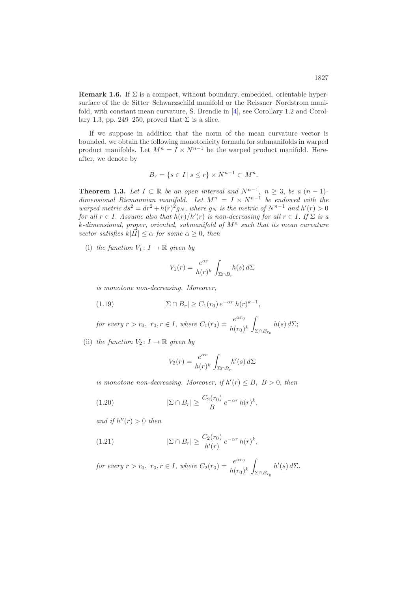**Remark 1.6.** If  $\Sigma$  is a compact, without boundary, embedded, orientable hypersurface of the de Sitter–Schwarzschild manifold or the Reissner–Nordstrom manifold, with constant mean curvature, S. Brendle in [\[4\]](#page-30-4), see Corollary 1.2 and Corollary 1.3, pp. 249–250, proved that  $\Sigma$  is a slice.

If we suppose in addition that the norm of the mean curvature vector is bounded, we obtain the following monotonicity formula for submanifolds in warped product manifolds. Let  $M^n = I \times N^{n-1}$  be the warped product manifold. Hereafter, we denote by

$$
B_r = \{ s \in I \mid s \le r \} \times N^{n-1} \subset M^n.
$$

<span id="page-6-0"></span>**Theorem 1.3.** *Let*  $I \subset \mathbb{R}$  *be an open interval and*  $N^{n-1}$ ,  $n \geq 3$ , *be a*  $(n-1)$ *dimensional Riemannian manifold.* Let  $M^n = I \times N^{n-1}$  be endowed with the *warped metric*  $ds^2 = dr^2 + h(r)^2 g_N$ , *where*  $g_N$  *is the metric of*  $N^{n-1}$  *and*  $h'(r) > 0$ *for all*  $r \in I$ . Assume also that  $h(r)/h'(r)$  *is non-decreasing for all*  $r \in I$ . If  $\Sigma$  *is a*  $k$ -dimensional, proper, oriented, submanifold of  $M<sup>n</sup>$  such that its mean curvature *vector satisfies*  $k|\vec{H}| \leq \alpha$  *for some*  $\alpha \geq 0$ *, then* 

(i) *the function*  $V_1: I \to \mathbb{R}$  *given by* 

<span id="page-6-1"></span>
$$
V_1(r) = \frac{e^{\alpha r}}{h(r)^k} \int_{\Sigma \cap B_r} h(s) \, d\Sigma
$$

*is monotone non-decreasing. Moreover,*

(1.19) 
$$
|\Sigma \cap B_r| \ge C_1(r_0) e^{-\alpha r} h(r)^{k-1},
$$

*for every*  $r > r_0$ ,  $r_0, r \in I$ , *where*  $C_1(r_0) = \frac{e^{\alpha r_0}}{h(r_0)^k}$  $\Sigma ∩ B_{r_0}$  $h(s) d\Sigma;$ 

(ii) *the function*  $V_2: I \to \mathbb{R}$  *given by* 

<span id="page-6-2"></span>
$$
V_2(r) = \frac{e^{\alpha r}}{h(r)^k} \int_{\Sigma \cap B_r} h'(s) \, d\Sigma
$$

*is monotone non-decreasing. Moreover, if*  $h'(r) \leq B$ ,  $B > 0$ , *then* 

$$
(1.20) \t |\Sigma \cap B_r| \geq \frac{C_2(r_0)}{B} e^{-\alpha r} h(r)^k,
$$

*and if*  $h''(r) > 0$  *then* 

<span id="page-6-3"></span>(1.21) 
$$
|\Sigma \cap B_r| \ge \frac{C_2(r_0)}{h'(r)} e^{-\alpha r} h(r)^k,
$$

*for every*  $r > r_0$ ,  $r_0, r \in I$ , *where*  $C_2(r_0) = \frac{e^{\alpha r_0}}{h(r_0)^k}$  $\Sigma \cap B_{r_0}$  $h'(s) d\Sigma.$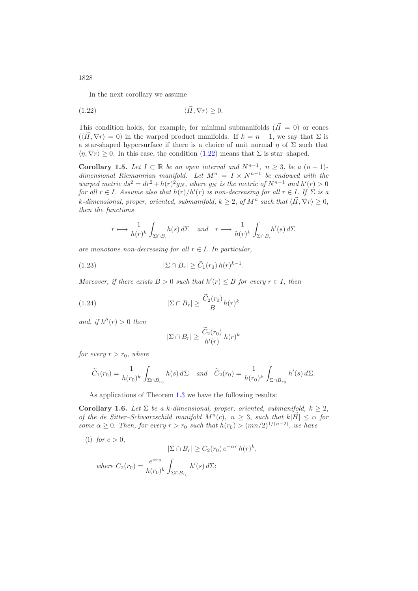1828

<span id="page-7-0"></span>In the next corollary we assume

$$
(1.22) \t\t \langle \vec{H}, \nabla r \rangle \ge 0.
$$

This condition holds, for example, for minimal submanifolds  $(\vec{H} = 0)$  or cones  $(\langle \vec{H}, \nabla r \rangle = 0)$  in the warped product manifolds. If  $k = n - 1$ , we say that  $\Sigma$  is a star-shaped hypersurface if there is a choice of unit normal  $\eta$  of  $\Sigma$  such that  $\langle \eta, \nabla r \rangle \geq 0$ . In this case, the condition [\(1.22\)](#page-7-0) means that  $\Sigma$  is star-shaped.

<span id="page-7-1"></span>**Corollary 1.5.** *Let*  $I \subset \mathbb{R}$  *be an open interval and*  $N^{n-1}$ ,  $n > 3$ , *be a*  $(n-1)$ *dimensional Riemannian manifold.* Let  $M^n = I \times N^{n-1}$  be endowed with the *warped metric*  $ds^2 = dr^2 + h(r)^2 g_N$ , *where*  $g_N$  *is the metric of*  $N^{n-1}$  *and*  $h'(r) > 0$ *for all*  $r \in I$ . Assume also that  $h(r)/h'(r)$  *is non-decreasing for all*  $r \in I$ . If  $\Sigma$  *is a* k-dimensional, proper, oriented, submanifold,  $k \geq 2$ , of  $M^n$  such that  $\langle \vec{H}, \nabla r \rangle \geq 0$ , *then the functions*

$$
r \longmapsto \frac{1}{h(r)^k} \int_{\Sigma \cap B_r} h(s) d\Sigma \text{ and } r \longmapsto \frac{1}{h(r)^k} \int_{\Sigma \cap B_r} h'(s) d\Sigma
$$

*are monotone non-decreasing for all*  $r \in I$ . *In particular,* 

(1.23) 
$$
|\Sigma \cap B_r| \geq \widetilde{C}_1(r_0) h(r)^{k-1}.
$$

*Moreover, if there exists*  $B > 0$  *such that*  $h'(r) \leq B$  *for every*  $r \in I$ *, then* 

(1.24) 
$$
|\Sigma \cap B_r| \geq \frac{\widetilde{C}_2(r_0)}{B} h(r)^k
$$

*and, if*  $h''(r) > 0$  *then* 

$$
|\Sigma \cap B_r| \ge \frac{\widetilde{C}_2(r_0)}{h'(r)} h(r)^k
$$

*for every*  $r > r_0$ *, where* 

$$
\widetilde{C}_1(r_0) = \frac{1}{h(r_0)^k} \int_{\Sigma \cap B_{r_0}} h(s) d\Sigma \quad and \quad \widetilde{C}_2(r_0) = \frac{1}{h(r_0)^k} \int_{\Sigma \cap B_{r_0}} h'(s) d\Sigma.
$$

As applications of Theorem [1.3](#page-6-0) we have the following results:

<span id="page-7-2"></span>**Corollary 1.6.** *Let*  $\Sigma$  *be a k*-dimensional, proper, oriented, submanifold,  $k \geq 2$ , *of the de Sitter–Schwarzschild manifold*  $M^{n}(c)$ ,  $n \geq 3$ , *such that*  $k|H| \leq \alpha$  *for some*  $\alpha \geq 0$ *. Then, for every*  $r > r_0$  *such that*  $h(r_0) > (mn/2)^{1/(n-2)}$ *, we have* 

(i) *for*  $c > 0$ ,

$$
|\Sigma \cap B_r| \ge C_2(r_0) e^{-\alpha r} h(r)^k,
$$
  
where  $C_2(r_0) = \frac{e^{\alpha r_0}}{h(r_0)^k} \int_{\Sigma \cap B_{r_0}} h'(s) d\Sigma;$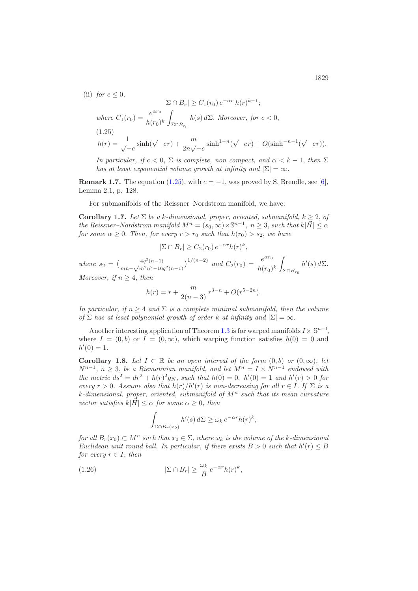(ii) *for*  $c \leq 0$ ,

$$
|\Sigma \cap B_r| \ge C_1(r_0) e^{-\alpha r} h(r)^{k-1};
$$
  
\nwhere  $C_1(r_0) = \frac{e^{\alpha r_0}}{h(r_0)^k} \int_{\Sigma \cap B_{r_0}} h(s) d\Sigma$ . Moreover, for  $c < 0$ ,  
\n(1.25)  
\n
$$
h(r) = \frac{1}{\sqrt{-c}} \sinh(\sqrt{-c}r) + \frac{m}{2n\sqrt{-c}} \sinh^{1-n}(\sqrt{-c}r) + O(\sinh^{-n-1}(\sqrt{-c}r)).
$$

<span id="page-8-0"></span>*In particular, if*  $c < 0$ ,  $\Sigma$  *is complete, non compact, and*  $\alpha < k - 1$ *, then*  $\Sigma$ *has at least exponential volume growth at infinity and*  $|\Sigma| = \infty$ .

**Remark 1.7.** The equation [\(1.25\)](#page-8-0), with  $c = -1$ , was proved by S. Brendle, see [\[6\]](#page-30-7), Lemma 2.1, p. 128.

For submanifolds of the Reissner–Nordstrom manifold, we have:

<span id="page-8-2"></span>**Corollary 1.7.** Let  $\Sigma$  be a k-dimensional, proper, oriented, submanifold,  $k \geq 2$ , of *the Reissner–Nordstrom manifold*  $M^n = (s_0, \infty) \times \mathbb{S}^{n-1}$ ,  $n \geq 3$ , *such that*  $k|\vec{H}| \leq \alpha$ *for some*  $\alpha \geq 0$ . *Then, for every*  $r > r_0$  *such that*  $h(r_0) > s_2$ *, we have* 

$$
|\Sigma \cap B_r| \ge C_2(r_0) e^{-\alpha r} h(r)^k,
$$

*where*  $s_2 = \left(\frac{4q^2(n-1)}{mn-\sqrt{m^2n^2-16q^2(n-1)}}\right)^{1/(n-2)}$  *and*  $C_2(r_0) = \frac{e^{\alpha r_0}}{h(r_0)^k}$  $\Sigma ∩ B_{r_0}$  $h'(s) d\Sigma.$ *Moreover, if*  $n > 4$ *, then* 

$$
h(r) = r + \frac{m}{2(n-3)} r^{3-n} + O(r^{5-2n}).
$$

*In particular, if*  $n \geq 4$  *and*  $\Sigma$  *is a complete minimal submanifold, then the volume of*  $\Sigma$  *has at least polynomial growth of order*  $k$  *at infinity and*  $|\Sigma| = \infty$ .

Another interesting application of Theorem [1.3](#page-6-0) is for warped manifolds  $I \times \mathbb{S}^{n-1}$ , where  $I = (0, b)$  or  $I = (0, \infty)$ , which warping function satisfies  $h(0) = 0$  and  $h'(0)=1.$ 

<span id="page-8-1"></span>**Corollary 1.8.** *Let*  $I \subset \mathbb{R}$  *be an open interval of the form*  $(0,b)$  *or*  $(0,\infty)$ *, let*  $N^{n-1}$ ,  $n \geq 3$ , *be a Riemannian manifold, and let*  $M^n = I \times N^{n-1}$  *endowed with the metric*  $ds^2 = dr^2 + h(r)^2 g_N$ , *such that*  $h(0) = 0$ ,  $h'(0) = 1$  *and*  $h'(r) > 0$  *for every*  $r > 0$ . *Assume also that*  $h(r)/h'(r)$  *is non-decreasing for all*  $r \in I$ . If  $\Sigma$  *is a* k*-dimensional, proper, oriented, submanifold of* M<sup>n</sup> *such that its mean curvature vector satisfies*  $k|H| \leq \alpha$  *for some*  $\alpha \geq 0$ *, then* 

$$
\int_{\Sigma \cap B_r(x_0)} h'(s) d\Sigma \ge \omega_k e^{-\alpha r} h(r)^k,
$$

*for all*  $B_r(x_0) \subset M^n$  *such that*  $x_0 \in \Sigma$ , *where*  $\omega_k$  *is the volume of the k-dimensional Euclidean unit round ball. In particular, if there exists*  $B > 0$  *such that*  $h'(r) \leq B$ *for every*  $r \in I$ *, then* 

(1.26) 
$$
|\Sigma \cap B_r| \geq \frac{\omega_k}{B} e^{-\alpha r} h(r)^k,
$$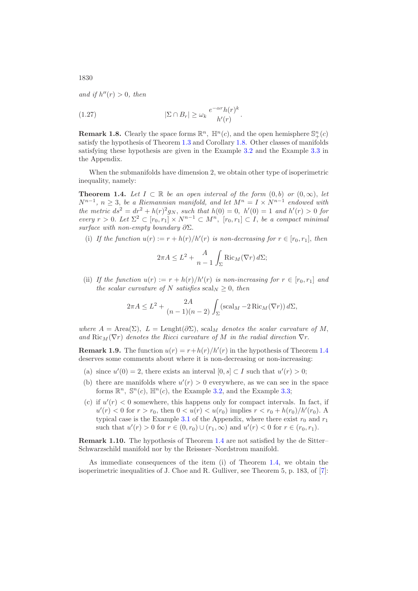*and if*  $h''(r) > 0$ *, then* 

(1.27) 
$$
|\Sigma \cap B_r| \ge \omega_k \frac{e^{-\alpha r} h(r)^k}{h'(r)}.
$$

**Remark 1.8.** Clearly the space forms  $\mathbb{R}^n$ ,  $\mathbb{H}^n(c)$ , and the open hemisphere  $\mathbb{S}^n_+(c)$ satisfy the hypothesis of Theorem [1.3](#page-6-0) and Corollary [1.8.](#page-8-1) Other classes of manifolds satisfying these hypothesis are given in the Example [3.2](#page-28-0) and the Example [3.3](#page-29-0) in the Appendix.

When the submanifolds have dimension 2, we obtain other type of isoperimetric inequality, namely:

<span id="page-9-0"></span>**Theorem 1.4.** Let  $I \subset \mathbb{R}$  be an open interval of the form  $(0,b)$  or  $(0,\infty)$ , let  $N^{n-1}$ ,  $n \geq 3$ , *be a Riemannian manifold, and let*  $M^n = I \times N^{n-1}$  *endowed with the metric*  $ds^2 = dr^2 + h(r)^2 g_N$ , *such that*  $h(0) = 0$ ,  $h'(0) = 1$  *and*  $h'(r) > 0$  *for every*  $r > 0$ . Let  $\Sigma^2 \subset [r_0, r_1] \times N^{n-1} \subset M^n$ ,  $[r_0, r_1] \subset I$ , *be a compact minimal surface with non-empty boundary* ∂Σ.

(i) If the function  $u(r) := r + h(r)/h'(r)$  is non-decreasing for  $r \in [r_0, r_1]$ , then

$$
2\pi A \le L^2 + \frac{A}{n-1} \int_{\Sigma} \text{Ric}_M(\nabla r) d\Sigma;
$$

(ii) If the function  $u(r) := r + h(r)/h'(r)$  is non-increasing for  $r \in [r_0, r_1]$  and *the scalar curvature of* N *satisfies* scal<sub>N</sub>  $\geq$  0, *then* 

$$
2\pi A \le L^2 + \frac{2A}{(n-1)(n-2)} \int_{\Sigma} (\mathrm{scal}_M - 2 \mathrm{Ric}_M(\nabla r)) d\Sigma,
$$

*where*  $A = \text{Area}(\Sigma)$ ,  $L = \text{Length}(\partial \Sigma)$ , scal<sub>M</sub> denotes the scalar curvature of M, and  $\text{Ric}_M(\nabla r)$  *denotes the Ricci curvature of* M *in the radial direction*  $\nabla r$ .

**Remark 1.9.** The function  $u(r) = r + h(r)/h'(r)$  in the hypothesis of Theorem [1.4](#page-9-0) deserves some comments about where it is non-decreasing or non-increasing:

- (a) since  $u'(0) = 2$ , there exists an interval  $[0, s] \subset I$  such that  $u'(r) > 0$ ;
- (b) there are manifolds where  $u'(r) > 0$  everywhere, as we can see in the space forms  $\mathbb{R}^n$ ,  $\mathbb{S}^n(c)$ ,  $\mathbb{H}^n(c)$ , the Example [3.2,](#page-28-0) and the Example [3.3;](#page-29-0)
- (c) if  $u'(r) < 0$  somewhere, this happens only for compact intervals. In fact, if  $u'(r) < 0$  for  $r > r_0$ , then  $0 < u(r) < u(r_0)$  implies  $r < r_0 + h(r_0)/h'(r_0)$ . A typical case is the Example [3.1](#page-27-0) of the Appendix, where there exist  $r_0$  and  $r_1$ such that  $u'(r) > 0$  for  $r \in (0, r_0) \cup (r_1, \infty)$  and  $u'(r) < 0$  for  $r \in (r_0, r_1)$ .

**Remark 1.10.** The hypothesis of Theorem [1.4](#page-9-0) are not satisfied by the de Sitter– Schwarzschild manifold nor by the Reissner–Nordstrom manifold.

As immediate consequences of the item (i) of Theorem [1.4,](#page-9-0) we obtain the isoperimetric inequalities of J. Choe and R. Gulliver, see Theorem 5, p. 183, of [\[7\]](#page-30-8):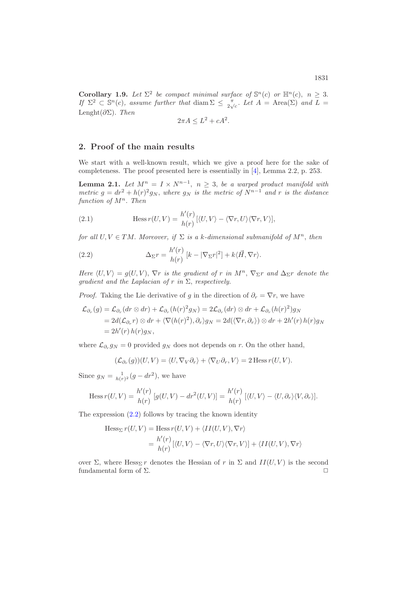**Corollary 1.9.** *Let*  $\Sigma^2$  *be compact minimal surface of*  $\mathbb{S}^n(c)$  *or*  $\mathbb{H}^n(c)$ ,  $n > 3$ . *If*  $\Sigma^2 \subset \mathbb{S}^n(c)$ , assume further that diam  $\Sigma \leq \frac{\pi}{2\sqrt{c}}$ . Let  $A = \text{Area}(\Sigma)$  and  $L =$ Lenght(∂Σ). *Then*

$$
2\pi A \le L^2 + cA^2.
$$

### **2. Proof of the main results**

We start with a well-known result, which we give a proof here for the sake of completeness. The proof presented here is essentially in [\[4\]](#page-30-4), Lemma 2.2, p. 253.

<span id="page-10-1"></span>**Lemma 2.1.** *Let*  $M^n = I \times N^{n-1}$ ,  $n \geq 3$ , *be a warped product manifold with metric*  $g = dr^2 + h(r)^2 g_N$ , *where*  $g_N$  *is the metric of*  $N^{n-1}$  *and* r *is the distance function of*  $M^n$ . *Then* 

(2.1) 
$$
\text{Hess } r(U, V) = \frac{h'(r)}{h(r)} [\langle U, V \rangle - \langle \nabla r, U \rangle \langle \nabla r, V \rangle],
$$

*for all*  $U, V \in TM$ *. Moreover, if*  $\Sigma$  *is a k-dimensional submanifold of*  $M^n$ *, then* 

<span id="page-10-0"></span>(2.2) 
$$
\Delta_{\Sigma}r = \frac{h'(r)}{h(r)}\left[k - |\nabla_{\Sigma}r|^2\right] + k\langle\vec{H},\nabla r\rangle.
$$

*Here*  $\langle U, V \rangle = g(U, V)$ ,  $\nabla r$  *is the gradient of* r *in*  $M^n$ ,  $\nabla_{\Sigma} r$  *and*  $\Delta_{\Sigma} r$  *denote the gradient and the Laplacian of* r *in* Σ, *respectively.*

*Proof.* Taking the Lie derivative of g in the direction of  $\partial_r = \nabla r$ , we have

$$
\mathcal{L}_{\partial_r}(g) = \mathcal{L}_{\partial_r}(dr \otimes dr) + \mathcal{L}_{\partial_r}(h(r)^2 g_N) = 2\mathcal{L}_{\partial_r}(dr) \otimes dr + \mathcal{L}_{\partial_r}(h(r)^2)g_N
$$
  
=  $2d(\mathcal{L}_{\partial_r}r) \otimes dr + \langle \nabla(h(r)^2), \partial_r \rangle g_N = 2d(\langle \nabla r, \partial_r \rangle) \otimes dr + 2h'(r)h(r)g_N$   
=  $2h'(r)h(r)g_N$ ,

where  $\mathcal{L}_{\partial_r} g_N = 0$  provided  $g_N$  does not depends on r. On the other hand,

$$
(\mathcal{L}_{\partial_r}(g))(U,V) = \langle U, \nabla_V \partial_r \rangle + \langle \nabla_U \partial_r, V \rangle = 2 \operatorname{Hess} r(U,V).
$$

Since  $g_N = \frac{1}{h(r)^2} (g - dr^2)$ , we have

Hess 
$$
r(U, V) = \frac{h'(r)}{h(r)} [g(U, V) - dr^2(U, V)] = \frac{h'(r)}{h(r)} [\langle U, V \rangle - \langle U, \partial_r \rangle \langle V, \partial_r \rangle].
$$

The expression [\(2.2\)](#page-10-0) follows by tracing the known identity

Hess<sub>Σ</sub> 
$$
r(U, V) =
$$
 Hess  $r(U, V) + \langle II(U, V), \nabla r \rangle$   
=  $\frac{h'(r)}{h(r)} [\langle U, V \rangle - \langle \nabla r, U \rangle \langle \nabla r, V \rangle] + \langle II(U, V), \nabla r \rangle$ 

over  $\Sigma$ , where Hess<sub>Σ</sub> r denotes the Hessian of r in  $\Sigma$  and  $II(U, V)$  is the second fundamental form of  $\Sigma$ .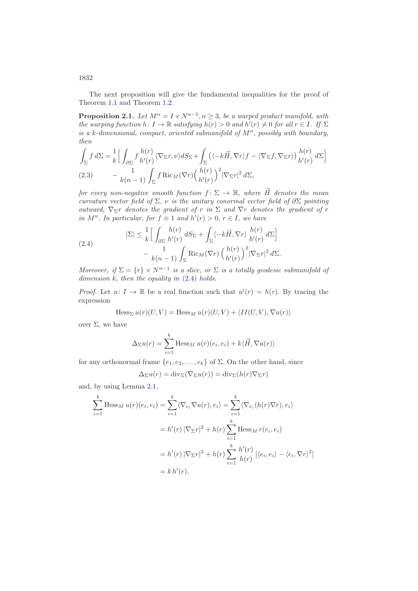1832

The next proposition will give the fundamental inequalities for the proof of Theorem [1.1](#page-2-4) and Theorem [1.2.](#page-4-2)

<span id="page-11-2"></span>**Proposition 2.1.** *Let*  $M^n = I \times N^{n-1}$ ,  $n \geq 3$ , *be a warped product manifold, with the warping function*  $h: I \to \mathbb{R}$  *satisfying*  $h(r) > 0$  *and*  $h'(r) \neq 0$  *for all*  $r \in I$ *. If*  $\Sigma$ *is a* k-dimensional, compact, oriented submanifold of  $M<sup>n</sup>$ , possibly with boundary, *then*

$$
\int_{\Sigma} f \, d\Sigma = \frac{1}{k} \Big[ \int_{\partial \Sigma} f \frac{h(r)}{h'(r)} \langle \nabla_{\Sigma} r, \nu \rangle dS_{\Sigma} + \int_{\Sigma} \left( \langle -k \vec{H}, \nabla r \rangle f - \langle \nabla_{\Sigma} f, \nabla_{\Sigma} r \rangle \right) \frac{h(r)}{h'(r)} \, d\Sigma \Big]
$$
\n
$$
(2.3) \qquad -\frac{1}{k(n-1)} \int_{\Sigma} f \operatorname{Ric}_M(\nabla r) \Big( \frac{h(r)}{h'(r)} \Big)^2 |\nabla_{\Sigma} r|^2 \, d\Sigma,
$$

<span id="page-11-1"></span>*for every non-negative smooth function*  $f: \Sigma \to \mathbb{R}$ , where  $\vec{H}$  denotes the mean *curvature vector field of*  $\Sigma$ ,  $\nu$  *is the unitary conormal vector field of*  $\partial \Sigma$  *pointing outward,*  $\nabla_{\Sigma} r$  *denotes the gradient of* r *in*  $\Sigma$  *and*  $\nabla r$  *denotes the gradient of* r *in*  $M^n$ . *In particular, for*  $f \equiv 1$  *and*  $h'(r) > 0$ ,  $r \in I$ , *we have* 

<span id="page-11-0"></span>(2.4) 
$$
|\Sigma| \leq \frac{1}{k} \Big[ \int_{\partial \Sigma} \frac{h(r)}{h'(r)} dS_{\Sigma} + \int_{\Sigma} \langle -k\vec{H}, \nabla r \rangle \frac{h(r)}{h'(r)} d\Sigma \Big] - \frac{1}{k(n-1)} \int_{\Sigma} \text{Ric}_M(\nabla r) \left( \frac{h(r)}{h'(r)} \right)^2 |\nabla_{\Sigma} r|^2 d\Sigma.
$$

*Moreover, if*  $\Sigma = \{r\} \times N^{n-1}$  *is a slice, or*  $\Sigma$  *is a totally geodesic submanifold of dimension* k, *then the equality in* [\(2.4\)](#page-11-0) *holds.*

*Proof.* Let  $u: I \to \mathbb{R}$  be a real function such that  $u'(r) = h(r)$ . By tracing the expression

 $Hess_{\Sigma} u(r)(U, V) = Hess_{M} u(r)(U, V) + \langle II(U, V), \nabla u(r) \rangle$ 

over  $Σ$ , we have

$$
\Delta_{\Sigma} u(r) = \sum_{i=1}^{k} \text{Hess}_{M} u(r)(e_{i}, e_{i}) + k \langle \vec{H}, \nabla u(r) \rangle
$$

for any orthonormal frame  $\{e_1, e_2, \ldots, e_k\}$  of  $\Sigma$ . On the other hand, since

$$
\Delta_{\Sigma}u(r) = \mathrm{div}_{\Sigma}(\nabla_{\Sigma}u(r)) = \mathrm{div}_{\Sigma}(h(r)\nabla_{\Sigma}r)
$$

and, by using Lemma [2.1,](#page-10-1)

$$
\sum_{i=1}^{k} \text{Hess}_{M} u(r)(e_{i}, e_{i}) = \sum_{i=1}^{k} \langle \nabla_{e_{i}} \nabla u(r), e_{i} \rangle = \sum_{i=1}^{k} \langle \nabla_{e_{i}} (h(r) \nabla r), e_{i} \rangle
$$

$$
= h'(r) |\nabla_{\Sigma} r|^{2} + h(r) \sum_{i=1}^{k} \text{Hess}_{M} r(e_{i}, e_{i})
$$

$$
= h'(r) |\nabla_{\Sigma} r|^{2} + h(r) \sum_{i=1}^{k} \frac{h'(r)}{h(r)} [(e_{i}, e_{i}) - \langle e_{i}, \nabla r \rangle^{2}]
$$

$$
= k h'(r),
$$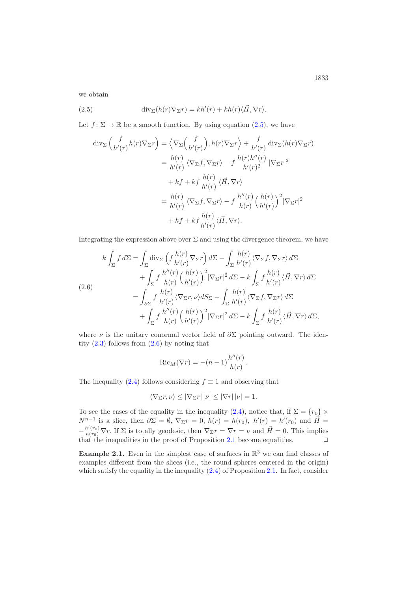we obtain

(2.5) 
$$
\operatorname{div}_{\Sigma}(h(r)\nabla_{\Sigma}r) = kh'(r) + kh(r)\langle\vec{H},\nabla r\rangle.
$$

Let  $f: \Sigma \to \mathbb{R}$  be a smooth function. By using equation  $(2.5)$ , we have

<span id="page-12-0"></span>
$$
\operatorname{div}_{\Sigma} \left( \frac{f}{h'(r)} h(r) \nabla_{\Sigma} r \right) = \left\langle \nabla_{\Sigma} \left( \frac{f}{h'(r)} \right), h(r) \nabla_{\Sigma} r \right\rangle + \frac{f}{h'(r)} \operatorname{div}_{\Sigma} (h(r) \nabla_{\Sigma} r)
$$

$$
= \frac{h(r)}{h'(r)} \left\langle \nabla_{\Sigma} f, \nabla_{\Sigma} r \right\rangle - f \frac{h(r)h''(r)}{h'(r)^2} \left| \nabla_{\Sigma} r \right|^2
$$

$$
+ kf + kf \frac{h(r)}{h'(r)} \left\langle \vec{H}, \nabla r \right\rangle
$$

$$
= \frac{h(r)}{h'(r)} \left\langle \nabla_{\Sigma} f, \nabla_{\Sigma} r \right\rangle - f \frac{h''(r)}{h(r)} \left( \frac{h(r)}{h'(r)} \right)^2 \left| \nabla_{\Sigma} r \right|^2
$$

$$
+ kf + kf \frac{h(r)}{h'(r)} \left\langle \vec{H}, \nabla r \right\rangle.
$$

Integrating the expression above over  $\Sigma$  and using the divergence theorem, we have

<span id="page-12-1"></span>
$$
k \int_{\Sigma} f \, d\Sigma = \int_{\Sigma} \text{div}_{\Sigma} \left( f \frac{h(r)}{h'(r)} \nabla_{\Sigma} r \right) d\Sigma - \int_{\Sigma} \frac{h(r)}{h'(r)} \langle \nabla_{\Sigma} f, \nabla_{\Sigma} r \rangle \, d\Sigma + \int_{\Sigma} f \frac{h''(r)}{h(r)} \left( \frac{h(r)}{h'(r)} \right)^2 |\nabla_{\Sigma} r|^2 \, d\Sigma - k \int_{\Sigma} f \frac{h(r)}{h'(r)} \langle \vec{H}, \nabla r \rangle \, d\Sigma = \int_{\partial \Sigma} f \frac{h(r)}{h'(r)} \langle \nabla_{\Sigma} r, \nu \rangle dS_{\Sigma} - \int_{\Sigma} \frac{h(r)}{h'(r)} \langle \nabla_{\Sigma} f, \nabla_{\Sigma} r \rangle \, d\Sigma + \int_{\Sigma} f \frac{h''(r)}{h(r)} \left( \frac{h(r)}{h'(r)} \right)^2 |\nabla_{\Sigma} r|^2 \, d\Sigma - k \int_{\Sigma} f \frac{h(r)}{h'(r)} \langle \vec{H}, \nabla r \rangle \, d\Sigma,
$$

where  $\nu$  is the unitary conormal vector field of  $\partial \Sigma$  pointing outward. The identity  $(2.3)$  follows from  $(2.6)$  by noting that

$$
Ric_M(\nabla r) = -(n-1)\frac{h''(r)}{h(r)}.
$$

The inequality [\(2.4\)](#page-11-0) follows considering  $f \equiv 1$  and observing that

$$
\langle \nabla_{\Sigma} r, \nu \rangle \leq |\nabla_{\Sigma} r| |\nu| \leq |\nabla r| |\nu| = 1.
$$

To see the cases of the equality in the inequality [\(2.4\)](#page-11-0), notice that, if  $\Sigma = \{r_0\} \times$  $N^{n-1}$  is a slice, then  $\partial \Sigma = \emptyset$ ,  $\nabla_{\Sigma} r = 0$ ,  $h(r) = h(r_0)$ ,  $h'(r) = h'(r_0)$  and  $\vec{H} =$  $-\frac{h'(r_0)}{h(r_0)}\nabla r$ . If  $\Sigma$  is totally geodesic, then  $\nabla_\Sigma r = \nabla r = \nu$  and  $\vec{H} = 0$ . This implies that the inequalities in the proof of Proposition [2.1](#page-11-2) become equalities.  $\Box$ 

**Example 2.1.** Even in the simplest case of surfaces in  $\mathbb{R}^3$  we can find classes of examples different from the slices (i.e., the round spheres centered in the origin) which satisfy the equality in the inequality  $(2.4)$  of Proposition [2.1.](#page-11-2) In fact, consider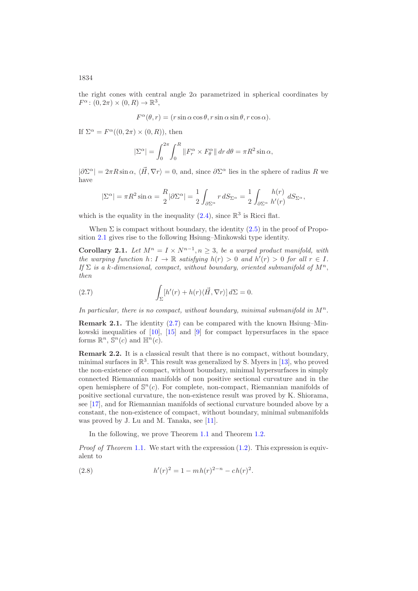the right cones with central angle  $2\alpha$  parametrized in spherical coordinates by  $F^{\alpha}$ :  $(0, 2\pi) \times (0, R) \rightarrow \mathbb{R}^{3}$ ,

 $F^{\alpha}(\theta, r) = (r \sin \alpha \cos \theta, r \sin \alpha \sin \theta, r \cos \alpha).$ 

If  $\Sigma^{\alpha} = F^{\alpha}((0, 2\pi) \times (0, R))$ , then

$$
|\Sigma^{\alpha}| = \int_0^{2\pi} \int_0^R ||F_r^{\alpha} \times F_\theta^{\alpha}|| \, dr \, d\theta = \pi R^2 \sin \alpha,
$$

 $|\partial \Sigma^{\alpha}| = 2\pi R \sin \alpha$ ,  $\langle \vec{H}, \nabla r \rangle = 0$ , and, since  $\partial \Sigma^{\alpha}$  lies in the sphere of radius R we have

$$
|\Sigma^{\alpha}| = \pi R^2 \sin \alpha = \frac{R}{2} |\partial \Sigma^{\alpha}| = \frac{1}{2} \int_{\partial \Sigma^{\alpha}} r \, dS_{\Sigma^{\alpha}} = \frac{1}{2} \int_{\partial \Sigma^{\alpha}} \frac{h(r)}{h'(r)} \, dS_{\Sigma^{\alpha}},
$$

which is the equality in the inequality  $(2.4)$ , since  $\mathbb{R}^3$  is Ricci flat.

When  $\Sigma$  is compact without boundary, the identity  $(2.5)$  in the proof of Proposition [2.1](#page-11-2) gives rise to the following Hsiung–Minkowski type identity.

**Corollary 2.1.** *Let*  $M^n = I \times N^{n-1}, n \geq 3$ , *be a warped product manifold, with the warping function*  $h: I \to \mathbb{R}$  *satisfying*  $h(r) > 0$  *and*  $h'(r) > 0$  *for all*  $r \in I$ *. If*  $\Sigma$  *is a* k-dimensional, compact, without boundary, oriented submanifold of  $M^n$ . *then*

<span id="page-13-0"></span>(2.7) 
$$
\int_{\Sigma} [h'(r) + h(r) \langle \vec{H}, \nabla r \rangle] d\Sigma = 0.
$$

In particular, there is no compact, without boundary, minimal submanifold in  $M^n$ .

**Remark 2.1.** The identity [\(2.7\)](#page-13-0) can be compared with the known Hsiung–Minkowski inequalities of [\[10\]](#page-30-10), [\[15\]](#page-30-11) and [\[9\]](#page-30-12) for compact hypersurfaces in the space forms  $\mathbb{R}^n$ ,  $\mathbb{S}^n(c)$  and  $\mathbb{H}^n(c)$ .

**Remark 2.2.** It is a classical result that there is no compact, without boundary, minimal surfaces in  $\mathbb{R}^3$ . This result was generalized by S. Myers in [\[13\]](#page-30-13), who proved the non-existence of compact, without boundary, minimal hypersurfaces in simply connected Riemannian manifolds of non positive sectional curvature and in the open hemisphere of  $\mathbb{S}^n(c)$ . For complete, non-compact, Riemannian manifolds of positive sectional curvature, the non-existence result was proved by K. Shiorama, see [\[17\]](#page-31-3), and for Riemannian manifolds of sectional curvature bounded above by a constant, the non-existence of compact, without boundary, minimal submanifolds was proved by J. Lu and M. Tanaka, see [\[11\]](#page-30-14).

In the following, we prove Theorem [1.1](#page-2-4) and Theorem [1.2.](#page-4-2)

*Proof of Theorem* [1.1](#page-2-4). We start with the expression  $(1.2)$ . This expression is equivalent to

<span id="page-13-1"></span>(2.8) 
$$
h'(r)^2 = 1 - mh(r)^{2-n} - ch(r)^2.
$$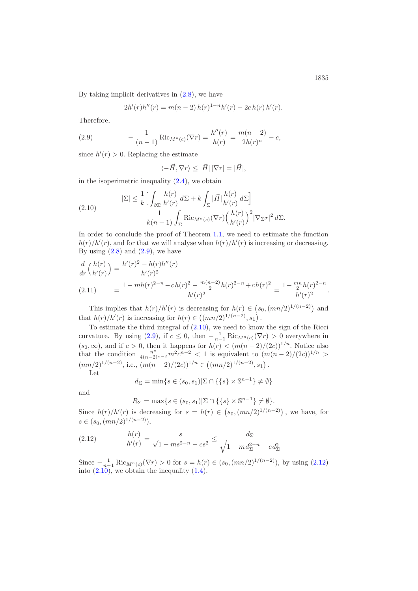By taking implicit derivatives in [\(2.8\)](#page-13-1), we have

<span id="page-14-0"></span>
$$
2h'(r)h''(r) = m(n-2) h(r)^{1-n}h'(r) - 2ch(r) h'(r).
$$

Therefore,

(2.9) 
$$
- \frac{1}{(n-1)} \text{Ric}_{M^n(c)}(\nabla r) = \frac{h''(r)}{h(r)} = \frac{m(n-2)}{2h(r)^n} - c,
$$

since  $h'(r) > 0$ . Replacing the estimate

$$
\langle -\vec{H}, \nabla r \rangle \leq |\vec{H}| |\nabla r| = |\vec{H}|,
$$

in the isoperimetric inequality  $(2.4)$ , we obtain

<span id="page-14-1"></span>(2.10) 
$$
|\Sigma| \leq \frac{1}{k} \Big[ \int_{\partial \Sigma} \frac{h(r)}{h'(r)} d\Sigma + k \int_{\Sigma} |\vec{H}| \frac{h(r)}{h'(r)} d\Sigma \Big] - k(n-1) \int_{\Sigma} \text{Ric}_{M^n(c)} (\nabla r) \Big( \frac{h(r)}{h'(r)} \Big)^2 |\nabla_{\Sigma} r|^2 d\Sigma.
$$

In order to conclude the proof of Theorem [1.1,](#page-2-4) we need to estimate the function  $h(r)/h'(r)$ , and for that we will analyse when  $h(r)/h'(r)$  is increasing or decreasing. By using  $(2.8)$  and  $(2.9)$ , we have

$$
\frac{d}{dr}\binom{h(r)}{h'(r)} = \frac{h'(r)^2 - h(r)h''(r)}{h'(r)^2}
$$
\n
$$
(2.11) \qquad = \frac{1 - mh(r)^{2-n} - ch(r)^2 - \binom{m(n-2)}{2}h(r)^{2-n} + ch(r)^2}{h'(r)^2} = \frac{1 - \binom{mn}{2}h(r)^{2-n}}{h'(r)^2}.
$$

This implies that  $h(r)/h'(r)$  is decreasing for  $h(r) \in (s_0, (mn/2)^{1/(n-2)})$  and that  $h(r)/h'(r)$  is increasing for  $h(r) \in ((mn/2)^{1/(n-2)}, s_1)$ .

To estimate the third integral of [\(2.10\)](#page-14-1), we need to know the sign of the Ricci curvature. By using [\(2.9\)](#page-14-0), if  $c \leq 0$ , then  $-\frac{1}{n-1} \text{Ric}_{M^n(c)}(\nabla r) > 0$  everywhere in  $(s_0, \infty)$ , and if  $c > 0$ , then it happens for  $h(r) < (m(n-2)/(2c))^{1/n}$ . Notice also that the condition  $\frac{n^n}{4(n-2)^{n-2}} m^2 c^{n-2} < 1$  is equivalent to  $(m(n-2)/(2c))^{1/n} >$  $(mn/2)^{1/(n-2)}$ , i.e.,  $(m(n-2)/(2c))^{1/n} \in ((mn/2)^{1/(n-2)}, s_1)$ .

Let

$$
d_{\Sigma} = \min\{s \in (s_0, s_1) | \Sigma \cap \{\{s\} \times \mathbb{S}^{n-1}\} \neq \emptyset\}
$$

and

<span id="page-14-2"></span> $R_{\Sigma} = \max\{s \in (s_0, s_1)|\Sigma \cap \{\{s\} \times \mathbb{S}^{n-1}\}\neq \emptyset\}.$ 

Since  $h(r)/h'(r)$  is decreasing for  $s = h(r) \in (s_0, (mn/2)^{1/(n-2)})$ , we have, for  $s \in (s_0, (mn/2)^{1/(n-2)}),$ 

(2.12) 
$$
\frac{h(r)}{h'(r)} = \frac{s}{\sqrt{1 - ms^{2-n}} - cs^2} \le \frac{d_{\Sigma}}{\sqrt{1 - md_{\Sigma}^{2-n}} - cd_{\Sigma}^2}
$$

Since  $-\frac{1}{n-1}$  Ric<sub>Mn(c)</sub>( $\nabla r$ ) > 0 for  $s = h(r) \in (s_0, (mn/2)^{1/(n-2)})$ , by using [\(2.12\)](#page-14-2) into  $(2.10)$ , we obtain the inequality  $(1.4)$ .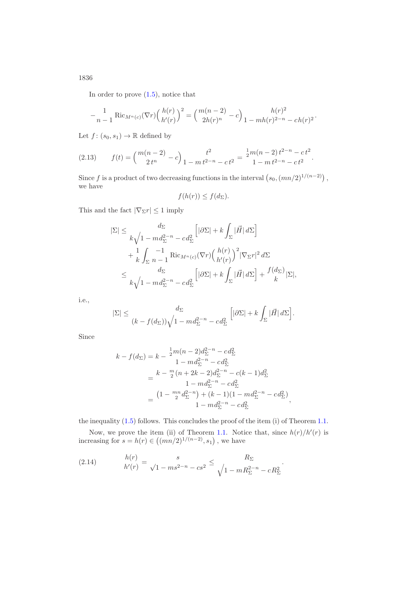In order to prove [\(1.5\)](#page-2-3), notice that

$$
-\frac{1}{n-1} \text{Ric}_{M^{n}(c)}(\nabla r) \left(\frac{h(r)}{h'(r)}\right)^{2} = \left(\frac{m(n-2)}{2h(r)^{n}} - c\right) \frac{h(r)^{2}}{1 - mh(r)^{2-n}} - ch(r)^{2}.
$$

Let  $f: (s_0, s_1) \to \mathbb{R}$  defined by

<span id="page-15-1"></span>
$$
(2.13) \t f(t) = {m(n-2) \choose 2t^n} - c \Big) \frac{t^2}{1 - m t^{2-n} - c t^2} = \frac{\frac{1}{2}m(n-2) t^{2-n} - c t^2}{1 - m t^{2-n} - c t^2}.
$$

Since f is a product of two decreasing functions in the interval  $(s_0, (mn/2)^{1/(n-2)})$ , we have

$$
f(h(r)) \le f(d_{\Sigma}).
$$

This and the fact  $|\nabla_{\Sigma}r| \leq 1$  imply

$$
\begin{split} |\Sigma| &\leq \frac{d_\Sigma}{k\sqrt{1-m d_\Sigma^{2-n} - c d_\Sigma^2}} \Big[ |\partial \Sigma| + k \int_\Sigma |\vec{H}| \, d\Sigma \Big] \\ &+ \frac{1}{k} \int_\Sigma \frac{-1}{n-1} \operatorname{Ric}_{M^n(c)}(\nabla r) \Big(\frac{h(r)}{h'(r)}\Big)^2 |\nabla_\Sigma r|^2 \, d\Sigma \\ &\leq \frac{d_\Sigma}{k\sqrt{1-m d_\Sigma^{2-n} - c d_\Sigma^2}} \Big[ |\partial \Sigma| + k \int_\Sigma |\vec{H}| \, d\Sigma \Big] + \frac{f(d_\Sigma)}{k} |\Sigma|, \end{split}
$$

i.e.,

$$
|\Sigma| \le \frac{d_{\Sigma}}{(k - f(d_{\Sigma}))\sqrt{1 - md_{\Sigma}^{2-n} - cd_{\Sigma}^2}} \left[|\partial \Sigma| + k \int_{\Sigma} |\vec{H}| d\Sigma\right].
$$

Since

$$
k - f(d_{\Sigma}) = k - \frac{1}{2}m(n-2)d_{\Sigma}^{2-n} - cd_{\Sigma}^{2}
$$
  
\n
$$
1 - md_{\Sigma}^{2-n} - cd_{\Sigma}^{2}
$$
  
\n
$$
= \frac{k - \frac{m}{2}(n+2k-2)d_{\Sigma}^{2-n} - c(k-1)d_{\Sigma}^{2}}{1 - md_{\Sigma}^{2-n} - cd_{\Sigma}^{2}}
$$
  
\n
$$
= \frac{(1 - \frac{mn}{2}d_{\Sigma}^{2-n}) + (k-1)(1 - md_{\Sigma}^{2-n} - cd_{\Sigma}^{2})}{1 - md_{\Sigma}^{2-n} - cd_{\Sigma}^{2}},
$$

the inequality [\(1.5\)](#page-2-3) follows. This concludes the proof of the item (i) of Theorem [1.1.](#page-2-4)

Now, we prove the item (ii) of Theorem [1.1.](#page-2-4) Notice that, since  $h(r)/h'(r)$  is increasing for  $s = h(r) \in ((mn/2)^{1/(n-2)}, s_1)$ , we have

.

<span id="page-15-0"></span>(2.14) 
$$
\begin{aligned}\n h(r) &= s \\
 h'(r) &= \sqrt{1 - ms^{2-n} - cs^2} \leq \frac{R_{\Sigma}}{\sqrt{1 - mR_{\Sigma}^{2-n} - cR_{\Sigma}^2}}\n \end{aligned}
$$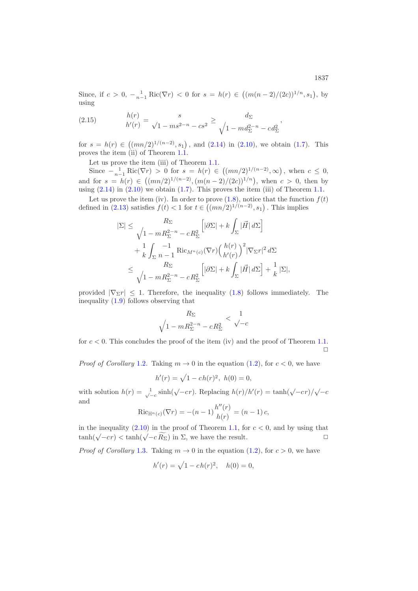Since, if  $c > 0$ ,  $-\frac{1}{n-1} \text{Ric}(\nabla r) < 0$  for  $s = h(r) \in ((m(n-2)/(2c))^{1/n}, s_1)$ , by using

(2.15) 
$$
\begin{aligned}\n h(r) &= s \\
 h'(r) &= \sqrt{1 - ms^{2-n} - cs^2} \ge \frac{d_{\Sigma}}{\sqrt{1 - md_{\Sigma}^{2-n} - cd_{\Sigma}^2}},\n \end{aligned}
$$

for  $s = h(r) \in ((mn/2)^{1/(n-2)}, s_1)$ , and  $(2.14)$  in  $(2.10)$ , we obtain  $(1.7)$ . This proves the item (ii) of Theorem [1.1.](#page-2-4)

Let us prove the item (iii) of Theorem [1.1.](#page-2-4)

Since  $-\frac{1}{n-1} \text{Ric}(\nabla r) > 0$  for  $s = h(r) \in ((mn/2)^{1/(n-2)}, \infty)$ , when  $c \leq 0$ , and for  $s = h(r) \in ((mn/2)^{1/(n-2)}, (m(n-2)/(2c))^{1/n})$ , when  $c > 0$ , then by using  $(2.14)$  in  $(2.10)$  we obtain  $(1.7)$ . This proves the item  $(iii)$  of Theorem [1.1.](#page-2-4)

Let us prove the item (iv). In order to prove  $(1.8)$ , notice that the function  $f(t)$ defined in [\(2.13\)](#page-15-1) satisfies  $f(t) < 1$  for  $t \in ((mn/2)^{1/(n-2)}, s_1)$ . This implies

$$
\begin{split} |\Sigma| &\leq \frac{R_{\Sigma}}{\sqrt{1-mR_{\Sigma}^{2-n}-cR_{\Sigma}^{2}}}\left[|\partial\Sigma|+k\int_{\Sigma}|\vec{H}|\,d\Sigma\right] \\ &+\frac{1}{k}\int_{\Sigma} \frac{-1}{n-1}\operatorname{Ric}_{M^{n}(c)}(\nabla r)\Big(\frac{h(r)}{h'(r)}\Big)^{2}|\nabla_{\Sigma}r|^{2}\,d\Sigma \\ &\leq \frac{R_{\Sigma}}{\sqrt{1-mR_{\Sigma}^{2-n}-cR_{\Sigma}^{2}}}\left[|\partial\Sigma|+k\int_{\Sigma}|\vec{H}|\,d\Sigma\right]+\frac{1}{k}\,|\Sigma|, \end{split}
$$

provided  $|\nabla_{\Sigma}r| \leq 1$ . Therefore, the inequality [\(1.8\)](#page-3-1) follows immediately. The inequality [\(1.9\)](#page-3-2) follows observing that

$$
\frac{R_{\Sigma}}{\sqrt{1 - mR_{\Sigma}^{2-n} - cR_{\Sigma}^{2}}} < \frac{1}{\sqrt{-c}}
$$

for  $c < 0$ . This concludes the proof of the item (iv) and the proof of Theorem [1.1.](#page-2-4)  $\Box$ 

*Proof of Corollary* [1.2](#page-4-0). Taking  $m \to 0$  in the equation [\(1.2\)](#page-1-0), for  $c < 0$ , we have

$$
h'(r) = \sqrt{1 - c h(r)^2}, \ h(0) = 0,
$$

with solution  $h(r) = \frac{1}{\sqrt{-c}} \sinh(\sqrt{-c}r)$ . Replacing  $h(r)/h'(r) = \tanh(\sqrt{-c}r)/\sqrt{-c}$ and

$$
\text{Ric}_{\mathbb{H}^n(c)}(\nabla r) = -(n-1)\frac{h''(r)}{h(r)} = (n-1)c,
$$

in the inequality  $(2.10)$  in the proof of Theorem [1.1,](#page-2-4) for  $c < 0$ , and by using that tanh( $\sqrt{-c}r$ ) < tanh( $\sqrt{-c}R_{\Sigma}$ ) in  $\Sigma$ , we have the result.  $\square$ 

*Proof of Corollary* [1.3](#page-4-3). Taking  $m \to 0$  in the equation [\(1.2\)](#page-1-0), for  $c > 0$ , we have

$$
h'(r) = \sqrt{1 - c h(r)^2}, \quad h(0) = 0,
$$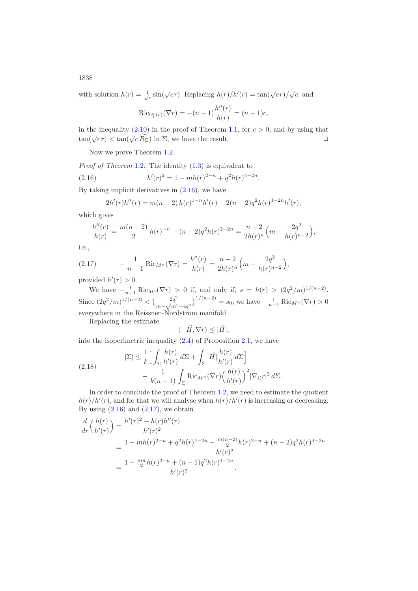1838

with solution  $h(r) = \frac{1}{\sqrt{c}} \sin(\sqrt{c}r)$ . Replacing  $h(r)/h'(r) = \tan(\sqrt{c}r)/\sqrt{c}$ , and

$$
\text{Ric}_{\mathbb{S}_+^n(c)}(\nabla r) = -(n-1)\frac{h''(r)}{h(r)} = (n-1)c,
$$

in the inequality  $(2.10)$  in the proof of Theorem [1.1,](#page-2-4) for  $c > 0$ , and by using that tan( $\sqrt{cr}$ )  $\lt$  tan( $\sqrt{c R_{\Sigma}}$ ) in  $\Sigma$ , we have the result.

Now we prove Theorem [1.2.](#page-4-2)

*Proof of Theorem* [1.2](#page-4-2). The identity  $(1.3)$  is equivalent to

(2.16) 
$$
h'(r)^2 = 1 - mh(r)^{2-n} + q^2h(r)^{4-2n}.
$$

By taking implicit derivatives in [\(2.16\)](#page-17-0), we have

<span id="page-17-0"></span>
$$
2h'(r)h''(r) = m(n-2) h(r)^{1-n} h'(r) - 2(n-2)q^2 h(r)^{3-2n} h'(r),
$$

which gives

$$
\frac{h''(r)}{h(r)} = \frac{m(n-2)}{2} h(r)^{-n} - (n-2)q^2 h(r)^{2-2n} = \frac{n-2}{2h(r)^n} \left( m - \frac{2q^2}{h(r)^{n-2}} \right),
$$

i.e.,

<span id="page-17-1"></span>(2.17) 
$$
- \frac{1}{n-1} \text{Ric}_{M^n}(\nabla r) = \frac{h''(r)}{h(r)} = \frac{n-2}{2h(r)^n} \left( m - \frac{2q^2}{h(r)^{n-2}} \right),
$$

provided  $h'(r) > 0$ .

We have  $-\frac{1}{n-1} \text{Ric}_{M^n}(\nabla r) > 0$  if, and only if,  $s = h(r) > (2q^2/m)^{1/(n-2)}$ . Since  $\left(2q^2/m\right)^{1/(n-2)} < \left(\frac{2q^2}{m-\sqrt{m^2-4q^2}}\right)^{1/(n-2)} = s_0$ , we have  $-\frac{1}{n-1}$  Ric<sub>Mn</sub>( $\nabla r$ ) > 0 everywhere in the Reissner–Nordstrom manifold.

Replacing the estimate

$$
\langle -\vec{H}, \nabla r \rangle \leq |\vec{H}|,
$$

into the isoperimetric inequality  $(2.4)$  of Proposition [2.1,](#page-11-2) we have

<span id="page-17-2"></span>(2.18) 
$$
|\Sigma| \leq \frac{1}{k} \Big[ \int_{\Sigma} \frac{h(r)}{h'(r)} d\Sigma + \int_{\Sigma} |\vec{H}| \frac{h(r)}{h'(r)} d\Sigma \Big] - \frac{1}{k(n-1)} \int_{\Sigma} \text{Ric}_{M^n}(\nabla r) \Big( \frac{h(r)}{h'(r)} \Big)^2 |\nabla_{\Sigma} r|^2 d\Sigma.
$$

In order to conclude the proof of Theorem [1.2,](#page-4-2) we need to estimate the quotient  $h(r)/h'(r)$ , and for that we will analyse when  $h(r)/h'(r)$  is increasing or decreasing. By using  $(2.16)$  and  $(2.17)$ , we obtain

$$
\frac{d}{dr}\binom{h(r)}{h'(r)} = \frac{h'(r)^2 - h(r)h''(r)}{h'(r)^2}
$$
\n
$$
= \frac{1 - mh(r)^{2-n} + q^2h(r)^{4-2n} - \frac{m(n-2)}{2}h(r)^{2-n} + (n-2)q^2h(r)^{4-2n}}{h'(r)^2}
$$
\n
$$
= \frac{1 - \frac{mn}{2}h(r)^{2-n} + (n-1)q^2h(r)^{4-2n}}{h'(r)^2}.
$$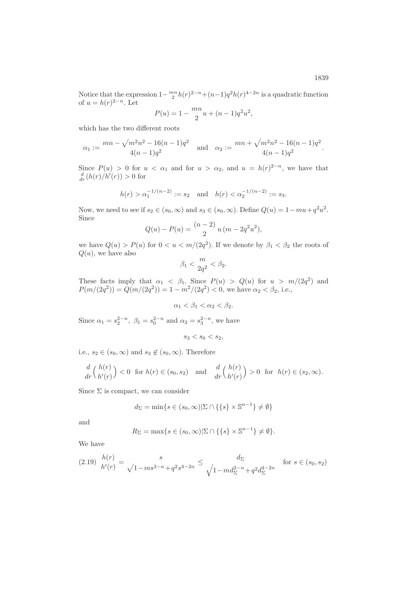Notice that the expression  $1-\frac{mn}{2}h(r)^{2-n}+(n-1)q^2h(r)^{4-2n}$  is a quadratic function of  $u = h(r)^{2-n}$ . Let

$$
P(u) = 1 - \frac{mn}{2}u + (n-1)q^2u^2,
$$

which has the two different roots

$$
\alpha_1 := \frac{mn - \sqrt{m^2n^2 - 16(n-1)q^2}}{4(n-1)q^2} \quad \text{and} \quad \alpha_2 := \frac{mn + \sqrt{m^2n^2 - 16(n-1)q^2}}{4(n-1)q^2}.
$$

Since  $P(u) > 0$  for  $u < \alpha_1$  and for  $u > \alpha_2$ , and  $u = h(r)^{2-n}$ , we have that  $\frac{d}{dr}(h(r)/h'(r)) > 0$  for

$$
h(r) > \alpha_1^{-1/(n-2)} := s_2
$$
 and  $h(r) < \alpha_2^{-1/(n-2)} := s_3$ .

Now, we need to see if  $s_2 \in (s_0, \infty)$  and  $s_3 \in (s_0, \infty)$ . Define  $Q(u) = 1 - mu + q^2u^2$ . Since

$$
Q(u) - P(u) = \frac{(n-2)}{2} u (m - 2q^2 u^2),
$$

we have  $Q(u) > P(u)$  for  $0 < u < m/(2q^2)$ . If we denote by  $\beta_1 < \beta_2$  the roots of  $Q(u)$ , we have also

$$
\beta_1 < \frac{m}{2q^2} < \beta_2.
$$

These facts imply that  $\alpha_1 < \beta_1$ . Since  $P(u) > Q(u)$  for  $u > m/(2q^2)$  and  $P(m/(2q^2)) = Q(m/(2q^2)) = 1 - m^2/(2q^2) < 0$ , we have  $\alpha_2 < \beta_2$ , i.e.,

$$
\alpha_1 < \beta_1 < \alpha_2 < \beta_2.
$$

Since  $\alpha_1 = s_2^{2-n}$ ,  $\beta_1 = s_0^{2-n}$  and  $\alpha_2 = s_3^{2-n}$ , we have

$$
s_3 < s_0 < s_2, \quad
$$

i.e.,  $s_2 \in (s_0, \infty)$  and  $s_3 \notin (s_0, \infty)$ . Therefore

$$
\frac{d}{dr}\binom{h(r)}{h'(r)} < 0 \quad \text{for } h(r) \in (s_0, s_2) \quad \text{and} \quad \frac{d}{dr}\binom{h(r)}{h'(r)} > 0 \quad \text{for } h(r) \in (s_2, \infty).
$$

Since  $\Sigma$  is compact, we can consider

$$
d_{\Sigma} = \min\{s \in (s_0, \infty) | \Sigma \cap \{\{s\} \times \mathbb{S}^{n-1}\} \neq \emptyset\}
$$

and

$$
R_{\Sigma} = \max\{s \in (s_0, \infty) | \Sigma \cap \{\{s\} \times \mathbb{S}^{n-1}\} \neq \emptyset\}.
$$

We have

<span id="page-18-0"></span>
$$
(2.19) \ \frac{h(r)}{h'(r)} = \frac{s}{\sqrt{1 - ms^{2-n} + q^2 s^{4-2n}}} \le \frac{d_{\Sigma}}{\sqrt{1 - md_{\Sigma}^{2-n} + q^2 d_{\Sigma}^{4-2n}}} \quad \text{for } s \in (s_0, s_2)
$$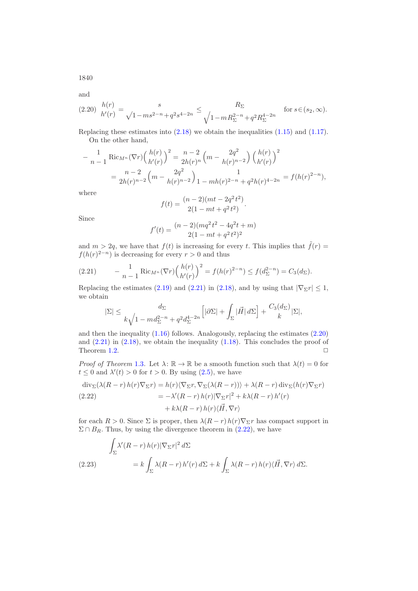1840

and

<span id="page-19-1"></span>
$$
(2.20) \frac{h(r)}{h'(r)} = \frac{s}{\sqrt{1 - ms^{2-n}} + q^2 s^{4-2n}} \le \frac{R_{\Sigma}}{\sqrt{1 - m R_{\Sigma}^{2-n}} + q^2 R_{\Sigma}^{4-2n}} \quad \text{for } s \in (s_2, \infty).
$$

Replacing these estimates into [\(2.18\)](#page-17-2) we obtain the inequalities [\(1.15\)](#page-4-1) and [\(1.17\)](#page-5-0). On the other hand,

$$
- \frac{1}{n-1} \operatorname{Ric}_{M^n}(\nabla r) \left(\frac{h(r)}{h'(r)}\right)^2 = \frac{n-2}{2h(r)^n} \left(m - \frac{2q^2}{h(r)^{n-2}}\right) \left(\frac{h(r)}{h'(r)}\right)^2
$$
  
= 
$$
\frac{n-2}{2h(r)^{n-2}} \left(m - \frac{2q^2}{h(r)^{n-2}}\right) \frac{1}{1 - mh(r)^{2-n} + q^2h(r)^{4-2n}} = f(h(r)^{2-n}),
$$

where

$$
f(t) = \frac{(n-2)(mt - 2q^2t^2)}{2(1 - mt + q^2t^2)}.
$$

Since

$$
f'(t) = \frac{(n-2)(mq^2t^2 - 4q^2t + m)}{2(1 - mt + q^2t^2)^2}
$$

and  $m > 2q$ , we have that  $f(t)$  is increasing for every t. This implies that  $\tilde{f}(r) =$  $f(h(r)^{2-n})$  is decreasing for every  $r > 0$  and thus

<span id="page-19-0"></span>(2.21) 
$$
- \frac{1}{n-1} \text{Ric}_{M^n}(\nabla r) \left(\frac{h(r)}{h'(r)}\right)^2 = f(h(r)^{2-n}) \le f(d_{\Sigma}^{2-n}) = C_3(d_{\Sigma}).
$$

Replacing the estimates [\(2.19\)](#page-18-0) and [\(2.21\)](#page-19-0) in [\(2.18\)](#page-17-2), and by using that  $|\nabla_{\Sigma} r| \leq 1$ , we obtain

$$
|\Sigma| \le \frac{d_\Sigma}{k\sqrt{1 - md_\Sigma^{2-n} + q^2 d_\Sigma^{4-2n}}} \left[|\partial \Sigma| + \int_\Sigma |\vec{H}| \, d\Sigma\right] + \frac{C_3(d_\Sigma)}{k} |\Sigma|,
$$

and then the inequality [\(1.16\)](#page-5-1) follows. Analogously, replacing the estimates [\(2.20\)](#page-19-1) and  $(2.21)$  in  $(2.18)$ , we obtain the inequality  $(1.18)$ . This concludes the proof of Theorem [1.2.](#page-4-2)  $\Box$ 

*Proof of Theorem* [1.3](#page-6-0). Let  $\lambda: \mathbb{R} \to \mathbb{R}$  be a smooth function such that  $\lambda(t) = 0$  for  $t \leq 0$  and  $\lambda'(t) > 0$  for  $t > 0$ . By using  $(2.5)$ , we have

<span id="page-19-2"></span>
$$
\operatorname{div}_{\Sigma}(\lambda(R-r) h(r) \nabla_{\Sigma} r) = h(r) \langle \nabla_{\Sigma} r, \nabla_{\Sigma}(\lambda(R-r)) \rangle + \lambda(R-r) \operatorname{div}_{\Sigma} (h(r) \nabla_{\Sigma} r)
$$
  
(2.22)  

$$
= -\lambda'(R-r) h(r) |\nabla_{\Sigma} r|^{2} + k \lambda(R-r) h'(r)
$$

$$
+ k \lambda(R-r) h(r) \langle \vec{H}, \nabla r \rangle
$$

for each  $R > 0$ . Since  $\Sigma$  is proper, then  $\lambda(R-r)h(r)\nabla_{\Sigma}r$  has compact support in  $\Sigma \cap B_R$ . Thus, by using the divergence theorem in [\(2.22\)](#page-19-2), we have

<span id="page-19-3"></span>
$$
\int_{\Sigma} \lambda'(R-r) h(r) |\nabla_{\Sigma} r|^2 d\Sigma
$$
\n(2.23)\n
$$
= k \int_{\Sigma} \lambda(R-r) h'(r) d\Sigma + k \int_{\Sigma} \lambda(R-r) h(r) \langle \vec{H}, \nabla r \rangle d\Sigma.
$$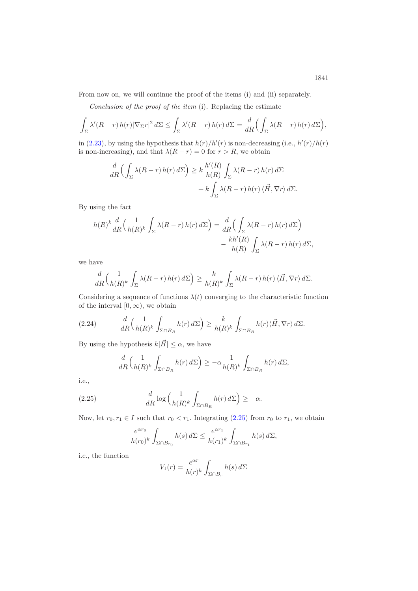From now on, we will continue the proof of the items (i) and (ii) separately.

*Conclusion of the proof of the item* (i)*.* Replacing the estimate

$$
\int_{\Sigma} \lambda'(R-r) h(r) |\nabla_{\Sigma} r|^2 d\Sigma \le \int_{\Sigma} \lambda'(R-r) h(r) d\Sigma = \frac{d}{dR} \Big( \int_{\Sigma} \lambda(R-r) h(r) d\Sigma \Big),
$$

in  $(2.23)$ , by using the hypothesis that  $h(r)/h'(r)$  is non-decreasing (i.e.,  $h'(r)/h(r)$ ) is non-increasing), and that  $\lambda(R - r) = 0$  for  $r > R$ , we obtain

$$
\frac{d}{dR} \left( \int_{\Sigma} \lambda(R-r) h(r) d\Sigma \right) \geq k \frac{h'(R)}{h(R)} \int_{\Sigma} \lambda(R-r) h(r) d\Sigma + k \int_{\Sigma} \lambda(R-r) h(r) \langle \vec{H}, \nabla r \rangle d\Sigma.
$$

By using the fact

$$
h(R)^k \frac{d}{dR} \left( \frac{1}{h(R)^k} \int_{\Sigma} \lambda(R-r) h(r) d\Sigma \right) = \frac{d}{dR} \left( \int_{\Sigma} \lambda(R-r) h(r) d\Sigma \right) - \frac{kh'(R)}{h(R)} \int_{\Sigma} \lambda(R-r) h(r) d\Sigma,
$$

we have

$$
\frac{d}{dR} \left( \frac{1}{h(R)^k} \int_{\Sigma} \lambda(R-r) h(r) d\Sigma \right) \ge \frac{k}{h(R)^k} \int_{\Sigma} \lambda(R-r) h(r) \langle \vec{H}, \nabla r \rangle d\Sigma.
$$

Considering a sequence of functions  $\lambda(t)$  converging to the characteristic function of the interval  $[0, \infty)$ , we obtain

$$
(2.24) \t\t dR\left(\frac{1}{h(R)^k}\int_{\Sigma\cap B_R}h(r)\,d\Sigma\right)\geq \frac{k}{h(R)^k}\int_{\Sigma\cap B_R}h(r)\langle\vec{H},\nabla r\rangle\,d\Sigma.
$$

By using the hypothesis  $k|\vec{H}| \leq \alpha$ , we have

<span id="page-20-1"></span>
$$
\frac{d}{dR} \left( \frac{1}{h(R)^k} \int_{\Sigma \cap B_R} h(r) d\Sigma \right) \ge -\alpha \frac{1}{h(R)^k} \int_{\Sigma \cap B_R} h(r) d\Sigma,
$$

i.e.,

(2.25) 
$$
\frac{d}{dR} \log \left( \frac{1}{h(R)^k} \int_{\Sigma \cap B_R} h(r) d\Sigma \right) \geq -\alpha.
$$

Now, let  $r_0, r_1 \in I$  such that  $r_0 < r_1$ . Integrating [\(2.25\)](#page-20-0) from  $r_0$  to  $r_1$ , we obtain

<span id="page-20-0"></span>
$$
\frac{e^{\alpha r_0}}{h(r_0)^k} \int_{\Sigma \cap B_{r_0}} h(s) d\Sigma \le \frac{e^{\alpha r_1}}{h(r_1)^k} \int_{\Sigma \cap B_{r_1}} h(s) d\Sigma,
$$

i.e., the function

$$
V_1(r) = \frac{e^{\alpha r}}{h(r)^k} \int_{\Sigma \cap B_r} h(s) d\Sigma
$$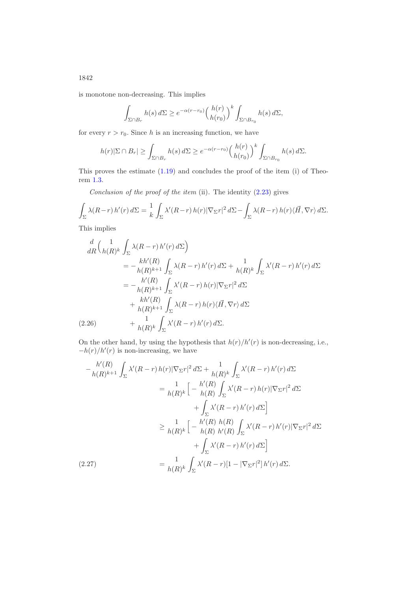is monotone non-decreasing. This implies

$$
\int_{\Sigma \cap B_r} h(s) d\Sigma \ge e^{-\alpha(r-r_0)} \left(\frac{h(r)}{h(r_0)}\right)^k \int_{\Sigma \cap B_{r_0}} h(s) d\Sigma,
$$

for every  $r>r_0$ . Since h is an increasing function, we have

$$
h(r)|\Sigma \cap B_r| \ge \int_{\Sigma \cap B_r} h(s) d\Sigma \ge e^{-\alpha(r-r_0)} \left(\frac{h(r)}{h(r_0)}\right)^k \int_{\Sigma \cap B_{r_0}} h(s) d\Sigma.
$$

This proves the estimate  $(1.19)$  and concludes the proof of the item  $(i)$  of Theorem [1.3.](#page-6-0)

*Conclusion of the proof of the item* (ii)*.* The identity [\(2.23\)](#page-19-3) gives

$$
\int_{\Sigma} \lambda(R-r) h'(r) d\Sigma = \frac{1}{k} \int_{\Sigma} \lambda'(R-r) h(r) |\nabla_{\Sigma} r|^2 d\Sigma - \int_{\Sigma} \lambda(R-r) h(r) \langle \vec{H}, \nabla r \rangle d\Sigma.
$$

This implies

$$
\frac{d}{dR} \Big( \frac{1}{h(R)^k} \int_{\Sigma} \lambda(R-r) h'(r) d\Sigma \Big)
$$
\n
$$
= -\frac{kh'(R)}{h(R)^{k+1}} \int_{\Sigma} \lambda(R-r) h'(r) d\Sigma + \frac{1}{h(R)^k} \int_{\Sigma} \lambda'(R-r) h'(r) d\Sigma
$$
\n
$$
= -\frac{h'(R)}{h(R)^{k+1}} \int_{\Sigma} \lambda'(R-r) h(r) |\nabla_{\Sigma} r|^2 d\Sigma
$$
\n
$$
+ \frac{kh'(R)}{h(R)^{k+1}} \int_{\Sigma} \lambda(R-r) h(r) \langle \vec{H}, \nabla r \rangle d\Sigma
$$
\n(2.26) 
$$
+ \frac{1}{h(R)^k} \int_{\Sigma} \lambda'(R-r) h'(r) d\Sigma.
$$

<span id="page-21-1"></span>On the other hand, by using the hypothesis that  $h(r)/h'(r)$  is non-decreasing, i.e.,  $-h(r)/h'(r)$  is non-increasing, we have

<span id="page-21-0"></span>
$$
-\frac{h'(R)}{h(R)^{k+1}} \int_{\Sigma} \lambda'(R-r) h(r) |\nabla_{\Sigma} r|^2 d\Sigma + \frac{1}{h(R)^k} \int_{\Sigma} \lambda'(R-r) h'(r) d\Sigma
$$
  
\n
$$
= \frac{1}{h(R)^k} \Big[ -\frac{h'(R)}{h(R)} \int_{\Sigma} \lambda'(R-r) h(r) |\nabla_{\Sigma} r|^2 d\Sigma
$$
  
\n
$$
+ \int_{\Sigma} \lambda'(R-r) h'(r) d\Sigma \Big]
$$
  
\n
$$
\geq \frac{1}{h(R)^k} \Big[ -\frac{h'(R)}{h(R)} \frac{h(R)}{h'(R)} \int_{\Sigma} \lambda'(R-r) h'(r) |\nabla_{\Sigma} r|^2 d\Sigma
$$
  
\n
$$
+ \int_{\Sigma} \lambda'(R-r) h'(r) d\Sigma \Big]
$$
  
\n(2.27)  
\n
$$
= \frac{1}{h(R)^k} \int_{\Sigma} \lambda'(R-r) [1 - |\nabla_{\Sigma} r|^2] h'(r) d\Sigma.
$$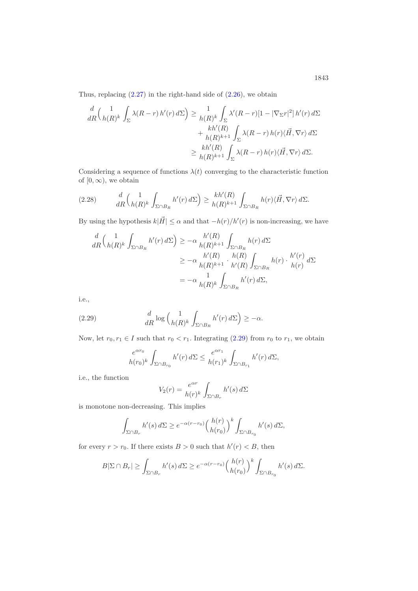Thus, replacing  $(2.27)$  in the right-hand side of  $(2.26)$ , we obtain

$$
\frac{d}{dR} \left( \frac{1}{h(R)^k} \int_{\Sigma} \lambda(R-r) h'(r) d\Sigma \right) \ge \frac{1}{h(R)^k} \int_{\Sigma} \lambda'(R-r) [1 - |\nabla_{\Sigma} r|^2] h'(r) d\Sigma \n+ \frac{kh'(R)}{h(R)^{k+1}} \int_{\Sigma} \lambda(R-r) h(r) \langle \vec{H}, \nabla r \rangle d\Sigma \n\ge \frac{kh'(R)}{h(R)^{k+1}} \int_{\Sigma} \lambda(R-r) h(r) \langle \vec{H}, \nabla r \rangle d\Sigma.
$$

Considering a sequence of functions  $\lambda(t)$  converging to the characteristic function of  $[0, \infty)$ , we obtain

<span id="page-22-1"></span>
$$
(2.28) \t\t dR\left(\frac{1}{h(R)^k}\int_{\Sigma\cap B_R} h'(r)\,d\Sigma\right) \ge \frac{kh'(R)}{h(R)^{k+1}}\int_{\Sigma\cap B_R} h(r)\langle\vec{H},\nabla r\rangle\,d\Sigma.
$$

By using the hypothesis  $k|\vec{H}| \leq \alpha$  and that  $-h(r)/h'(r)$  is non-increasing, we have

$$
\frac{d}{dR} \left( \frac{1}{h(R)^k} \int_{\Sigma \cap B_R} h'(r) d\Sigma \right) \ge -\alpha \frac{h'(R)}{h(R)^{k+1}} \int_{\Sigma \cap B_R} h(r) d\Sigma
$$
\n
$$
\ge -\alpha \frac{h'(R)}{h(R)^{k+1}} \cdot \frac{h(R)}{h'(R)} \int_{\Sigma \cap B_R} h(r) \cdot \frac{h'(r)}{h(r)} d\Sigma
$$
\n
$$
= -\alpha \frac{1}{h(R)^k} \int_{\Sigma \cap B_R} h'(r) d\Sigma,
$$

i.e.,

(2.29) 
$$
\frac{d}{dR}\log\left(\frac{1}{h(R)^k}\int_{\Sigma\cap B_R}h'(r)\,d\Sigma\right)\geq -\alpha.
$$

Now, let  $r_0, r_1 \in I$  such that  $r_0 < r_1$ . Integrating [\(2.29\)](#page-22-0) from  $r_0$  to  $r_1$ , we obtain

<span id="page-22-0"></span>
$$
\frac{e^{\alpha r_0}}{h(r_0)^k} \int_{\Sigma \cap B_{r_0}} h'(r) d\Sigma \le \frac{e^{\alpha r_1}}{h(r_1)^k} \int_{\Sigma \cap B_{r_1}} h'(r) d\Sigma,
$$

i.e., the function

$$
V_2(r) = \frac{e^{\alpha r}}{h(r)^k} \int_{\Sigma \cap B_r} h'(s) d\Sigma
$$

is monotone non-decreasing. This implies

$$
\int_{\Sigma \cap B_r} h'(s) d\Sigma \ge e^{-\alpha(r-r_0)} \left(\frac{h(r)}{h(r_0)}\right)^k \int_{\Sigma \cap B_{r_0}} h'(s) d\Sigma,
$$

for every  $r > r_0$ . If there exists  $B > 0$  such that  $h'(r) < B$ , then

$$
B|\Sigma \cap B_r| \ge \int_{\Sigma \cap B_r} h'(s) d\Sigma \ge e^{-\alpha(r-r_0)} \left(\frac{h(r)}{h(r_0)}\right)^k \int_{\Sigma \cap B_{r_0}} h'(s) d\Sigma.
$$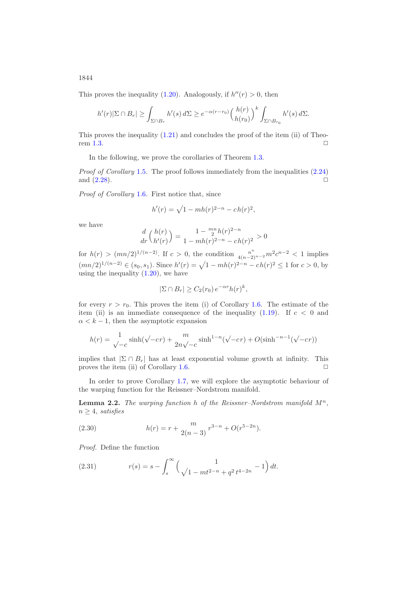This proves the inequality [\(1.20\)](#page-6-2). Analogously, if  $h''(r) > 0$ , then

$$
h'(r)|\Sigma \cap B_r| \geq \int_{\Sigma \cap B_r} h'(s) d\Sigma \geq e^{-\alpha(r-r_0)} \left(\frac{h(r)}{h(r_0)}\right)^k \int_{\Sigma \cap B_{r_0}} h'(s) d\Sigma.
$$

This proves the inequality  $(1.21)$  and concludes the proof of the item (ii) of Theo-rem [1.3.](#page-6-0)  $\Box$ 

In the following, we prove the corollaries of Theorem [1.3.](#page-6-0)

*Proof of Corollary* [1.5](#page-7-1). The proof follows immediately from the inequalities  $(2.24)$ and  $(2.28)$ .  $\Box$ 

*Proof of Corollary* [1.6](#page-7-2)*.* First notice that, since

$$
h'(r) = \sqrt{1 - mh(r)^{2-n} - ch(r)^2},
$$

we have

$$
\frac{d}{dr}\left(\frac{h(r)}{h'(r)}\right) = \frac{1 - \frac{mn}{2}h(r)^{2-n}}{1 - mh(r)^{2-n} - ch(r)^2} > 0
$$

for  $h(r) > (mn/2)^{1/(n-2)}$ . If  $c > 0$ , the condition  $\frac{n^n}{4(n-2)^{n-2}} m^2 c^{n-2} < 1$  implies  $(mn/2)^{1/(n-2)} \in (s_0, s_1)$ . Since  $h'(r) = \sqrt{1 - mh(r)^{2-n}} - ch(r)^2 \le 1$  for  $c > 0$ , by using the inequality  $(1.20)$ , we have

$$
|\Sigma \cap B_r| \ge C_2(r_0) e^{-\alpha r} h(r)^k,
$$

for every  $r>r_0$ . This proves the item (i) of Corollary [1.6.](#page-7-2) The estimate of the item (ii) is an immediate consequence of the inequality  $(1.19)$ . If  $c < 0$  and  $\alpha < k - 1$ , then the asymptotic expansion

$$
h(r) = \frac{1}{\sqrt{-c}} \sinh(\sqrt{-c}r) + \frac{m}{2n\sqrt{-c}} \sinh^{1-n}(\sqrt{-c}r) + O(\sinh^{-n-1}(\sqrt{-c}r))
$$

implies that  $|\Sigma \cap B_r|$  has at least exponential volume growth at infinity. This proves the item (ii) of Corollary [1.6.](#page-7-2)  $\Box$ 

In order to prove Corollary [1.7,](#page-8-2) we will explore the asymptotic behaviour of the warping function for the Reissner–Nordstrom manifold.

<span id="page-23-1"></span>**Lemma 2.2.** The warping function h of the Reissner–Nordstrom manifold  $M^n$ ,  $n > 4$ , *satisfies* 

(2.30) 
$$
h(r) = r + \frac{m}{2(n-3)} r^{3-n} + O(r^{5-2n}).
$$

*Proof.* Define the function

<span id="page-23-0"></span>(2.31) 
$$
r(s) = s - \int_s^{\infty} \left( \frac{1}{\sqrt{1 - mt^{2-n}} + q^2 t^{4-2n}} - 1 \right) dt.
$$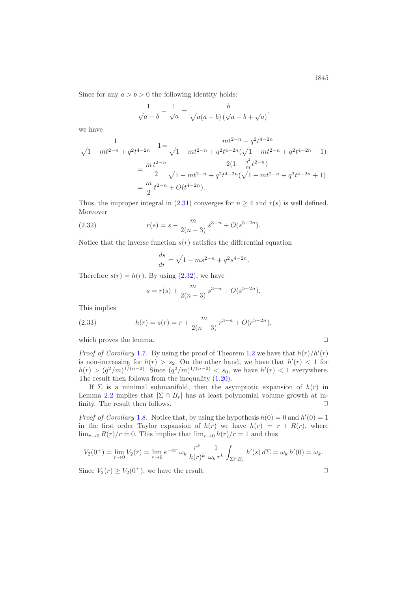Since for any  $a > b > 0$  the following identity holds:

$$
\frac{1}{\sqrt{a-b}} - \frac{1}{\sqrt{a}} = \frac{b}{\sqrt{a(a-b)(\sqrt{a-b}+\sqrt{a})}},
$$

we have

$$
\begin{aligned}\n1 & \quad mt^{2-n} - q^2 t^{4-2n} \\
\sqrt{1 - mt^{2-n}} + q^2 t^{4-2n} - \sqrt{1 - mt^{2-n}} + q^2 t^{4-2n} (\sqrt{1 - mt^{2-n}} + q^2 t^{4-2n} + 1) \\
&= \frac{mt^{2-n}}{2} \sqrt{1 - mt^{2-n}} + q^2 t^{4-2n} (\sqrt{1 - mt^{2-n}} + q^2 t^{4-2n} + 1) \\
&= \frac{m}{2} t^{2-n} + O(t^{4-2n}).\n\end{aligned}
$$

Thus, the improper integral in [\(2.31\)](#page-23-0) converges for  $n \geq 4$  and  $r(s)$  is well defined. Moreover

(2.32) 
$$
r(s) = s - \frac{m}{2(n-3)} s^{3-n} + O(s^{5-2n}).
$$

Notice that the inverse function  $s(r)$  satisfies the differential equation

<span id="page-24-0"></span>
$$
\frac{ds}{dr} = \sqrt{1 - ms^{2-n}} + q^2 s^{4-2n}.
$$

Therefore  $s(r) = h(r)$ . By using  $(2.32)$ , we have

$$
s = r(s) + \frac{m}{2(n-3)} s^{3-n} + O(s^{5-2n}).
$$

This implies

(2.33) 
$$
h(r) = s(r) = r + \frac{m}{2(n-3)} r^{3-n} + O(r^{5-2n}),
$$

which proves the lemma.  $\Box$ 

*Proof of Corollary* [1.7](#page-8-2). By using the proof of Theorem [1.2](#page-4-2) we have that  $h(r)/h'(r)$ is non-increasing for  $h(r) > s_2$ . On the other hand, we have that  $h'(r) < 1$  for  $h(r) > (q^2/m)^{1/(n-2)}$ . Since  $(q^2/m)^{1/(n-2)} < s_0$ , we have  $h'(r) < 1$  everywhere. The result then follows from the inequality [\(1.20\)](#page-6-2).

If  $\Sigma$  is a minimal submanifold, then the asymptotic expansion of  $h(r)$  in Lemma [2.2](#page-23-1) implies that  $|\Sigma \cap B_r|$  has at least polynomial volume growth at infinity. The result then follows.  $\Box$ 

*Proof of Corollary* [1.8](#page-8-1). Notice that, by using the hypothesis  $h(0) = 0$  and  $h'(0) = 1$ in the first order Taylor expansion of  $h(r)$  we have  $h(r) = r + R(r)$ , where  $\lim_{r\to 0} R(r)/r = 0$ . This implies that  $\lim_{r\to 0} h(r)/r = 1$  and thus

$$
V_2(0^+) = \lim_{r \to 0} V_2(r) = \lim_{r \to 0} e^{-\alpha r} \omega_k \frac{r^k}{h(r)^k} \frac{1}{\omega_k r^k} \int_{\Sigma \cap B_r} h'(s) d\Sigma = \omega_k h'(0) = \omega_k.
$$

Since  $V_2(r) \ge V_2(0^+)$ , we have the result.  $\Box$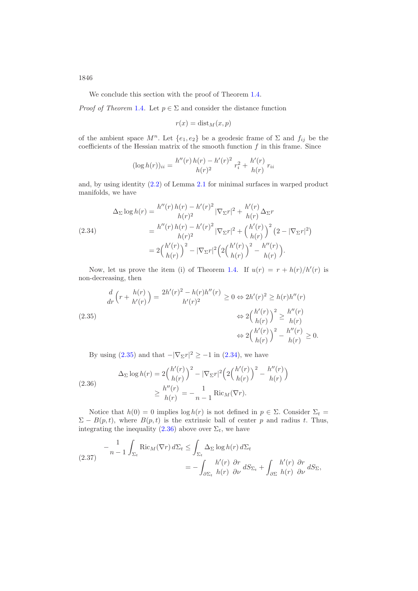We conclude this section with the proof of Theorem [1.4.](#page-9-0)

*Proof of Theorem* [1.4](#page-9-0). Let  $p \in \Sigma$  and consider the distance function

$$
r(x) = \text{dist}_M(x, p)
$$

of the ambient space  $M^n$ . Let  $\{e_1, e_2\}$  be a geodesic frame of  $\Sigma$  and  $f_{ij}$  be the coefficients of the Hessian matrix of the smooth function  $f$  in this frame. Since

$$
(\log h(r))_{ii} = \frac{h''(r)h(r) - h'(r)^2}{h(r)^2}r_i^2 + \frac{h'(r)}{h(r)}r_{ii}
$$

and, by using identity [\(2.2\)](#page-10-0) of Lemma [2.1](#page-10-1) for minimal surfaces in warped product manifolds, we have

<span id="page-25-1"></span>
$$
\Delta_{\Sigma} \log h(r) = \frac{h''(r) h(r) - h'(r)^2}{h(r)^2} |\nabla_{\Sigma} r|^2 + \frac{h'(r)}{h(r)} \Delta_{\Sigma} r
$$
\n
$$
(2.34) \qquad = \frac{h''(r) h(r) - h'(r)^2}{h(r)^2} |\nabla_{\Sigma} r|^2 + \left(\frac{h'(r)}{h(r)}\right)^2 (2 - |\nabla_{\Sigma} r|^2)
$$
\n
$$
= 2\left(\frac{h'(r)}{h(r)}\right)^2 - |\nabla_{\Sigma} r|^2 \left(2\left(\frac{h'(r)}{h(r)}\right)^2 - \frac{h''(r)}{h(r)}\right).
$$

Now, let us prove the item (i) of Theorem [1.4.](#page-9-0) If  $u(r) = r + h(r)/h'(r)$  is non-decreasing, then

<span id="page-25-0"></span>
$$
\frac{d}{dr}\left(r + \frac{h(r)}{h'(r)}\right) = \frac{2h'(r)^2 - h(r)h''(r)}{h'(r)^2} \ge 0 \Leftrightarrow 2h'(r)^2 \ge h(r)h''(r)
$$
\n
$$
\Leftrightarrow 2\left(\frac{h'(r)}{h(r)}\right)^2 \ge \frac{h''(r)}{h(r)}
$$
\n
$$
\Leftrightarrow 2\left(\frac{h'(r)}{h(r)}\right)^2 - \frac{h''(r)}{h(r)} \ge 0.
$$

By using [\(2.35\)](#page-25-0) and that  $-|\nabla_{\Sigma}r|^2 \ge -1$  in [\(2.34\)](#page-25-1), we have

<span id="page-25-2"></span>(2.36) 
$$
\Delta_{\Sigma} \log h(r) = 2 \left( \frac{h'(r)}{h(r)} \right)^2 - |\nabla_{\Sigma} r|^2 \left( 2 \left( \frac{h'(r)}{h(r)} \right)^2 - \frac{h''(r)}{h(r)} \right) \ge \frac{h''(r)}{h(r)} = -\frac{1}{n-1} \text{Ric}_M(\nabla r).
$$

Notice that  $h(0) = 0$  implies  $\log h(r)$  is not defined in  $p \in \Sigma$ . Consider  $\Sigma_t =$  $\Sigma - B(p, t)$ , where  $B(p, t)$  is the extrinsic ball of center p and radius t. Thus, integrating the inequality [\(2.36\)](#page-25-2) above over  $\Sigma_t$ , we have

<span id="page-25-3"></span>
$$
(2.37) \t- \frac{1}{n-1} \int_{\Sigma_t} \text{Ric}_M(\nabla r) d\Sigma_t \le \int_{\Sigma_t} \Delta_{\Sigma} \log h(r) d\Sigma_t = -\int_{\partial \Sigma_t} \frac{h'(r)}{h(r)} \frac{\partial r}{\partial \nu} dS_{\Sigma_t} + \int_{\partial \Sigma} \frac{h'(r)}{h(r)} \frac{\partial r}{\partial \nu} dS_{\Sigma},
$$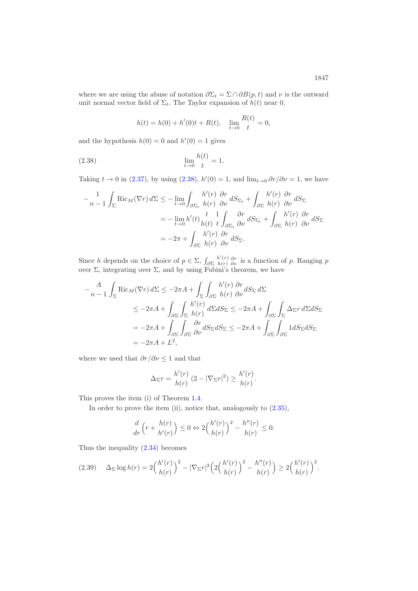where we are using the abuse of notation  $\partial \Sigma_t = \Sigma \cap \partial B(p,t)$  and  $\nu$  is the outward unit normal vector field of  $\Sigma_t$ . The Taylor expansion of  $h(t)$  near 0,

<span id="page-26-0"></span>
$$
h(t) = h(0) + h'(0)t + R(t), \quad \lim_{t \to 0} \frac{R(t)}{t} = 0,
$$

and the hypothesis  $h(0) = 0$  and  $h'(0) = 1$  gives

(2.38) 
$$
\lim_{t \to 0} \frac{h(t)}{t} = 1.
$$

Taking  $t \to 0$  in [\(2.37\)](#page-25-3), by using [\(2.38\)](#page-26-0),  $h'(0) = 1$ , and  $\lim_{t \to 0} \frac{\partial r}{\partial \nu} = 1$ , we have

$$
-\frac{1}{n-1} \int_{\Sigma} \text{Ric}_M(\nabla r) d\Sigma \le -\lim_{t \to 0} \int_{\partial \Sigma_t} \frac{h'(r)}{h(r)} \frac{\partial r}{\partial \nu} dS_{\Sigma_t} + \int_{\partial \Sigma} \frac{h'(r)}{h(r)} \frac{\partial r}{\partial \nu} dS_{\Sigma}
$$
  

$$
= -\lim_{t \to 0} h'(t) \frac{t}{h(t)} \frac{1}{t} \int_{\partial \Sigma_t} \frac{\partial r}{\partial \nu} dS_{\Sigma_t} + \int_{\partial \Sigma} \frac{h'(r)}{h(r)} \frac{\partial r}{\partial \nu} dS_{\Sigma}
$$
  

$$
= -2\pi + \int_{\partial \Sigma} \frac{h'(r)}{h(r)} \frac{\partial r}{\partial \nu} dS_{\Sigma}.
$$

Since h depends on the choice of  $p \in \Sigma$ ,  $\int_{\partial \Sigma}$  $h'(r)$  $h'(r) \partial r \over h(r) \partial \nu$  is a function of p. Ranging p over  $\Sigma$ , integrating over  $\Sigma$ , and by using Fubini's theorem, we have

$$
-\frac{A}{n-1} \int_{\Sigma} \text{Ric}_M(\nabla r) d\Sigma \le -2\pi A + \int_{\Sigma} \int_{\partial \Sigma} \frac{h'(r)}{h(r)} \frac{\partial r}{\partial \nu} dS_{\Sigma} d\Sigma
$$
  

$$
\le -2\pi A + \int_{\partial \Sigma} \int_{\Sigma} \frac{h'(r)}{h(r)} d\Sigma dS_{\Sigma} \le -2\pi A + \int_{\partial \Sigma} \int_{\Sigma} \Delta_{\Sigma} r d\Sigma dS_{\Sigma}
$$
  

$$
= -2\pi A + \int_{\partial \Sigma} \int_{\partial \Sigma} \frac{\partial r}{\partial \nu} dS_{\Sigma} dS_{\Sigma} \le -2\pi A + \int_{\partial \Sigma} \int_{\partial \Sigma} 1 dS_{\Sigma} dS_{\Sigma}
$$
  

$$
= -2\pi A + L^2,
$$

where we used that  $\partial r/\partial \nu \leq 1$  and that

$$
\Delta_{\Sigma}r = \frac{h'(r)}{h(r)} \left(2 - |\nabla_{\Sigma}r|^2\right) \ge \frac{h'(r)}{h(r)}.
$$

This proves the item (i) of Theorem [1.4.](#page-9-0)

In order to prove the item (ii), notice that, analogously to  $(2.35)$ ,

$$
\frac{d}{dr}\left(r+\frac{h(r)}{h'(r)}\right)\leq 0 \Leftrightarrow 2\left(\frac{h'(r)}{h(r)}\right)^2-\frac{h''(r)}{h(r)}\leq 0.
$$

Thus the inequality [\(2.34\)](#page-25-1) becomes

<span id="page-26-1"></span>
$$
(2.39) \quad \Delta_{\Sigma} \log h(r) = 2 \Big( \frac{h'(r)}{h(r)} \Big)^2 - |\nabla_{\Sigma} r|^2 \Big( 2 \Big( \frac{h'(r)}{h(r)} \Big)^2 - \frac{h''(r)}{h(r)} \Big) \ge 2 \Big( \frac{h'(r)}{h(r)} \Big)^2.
$$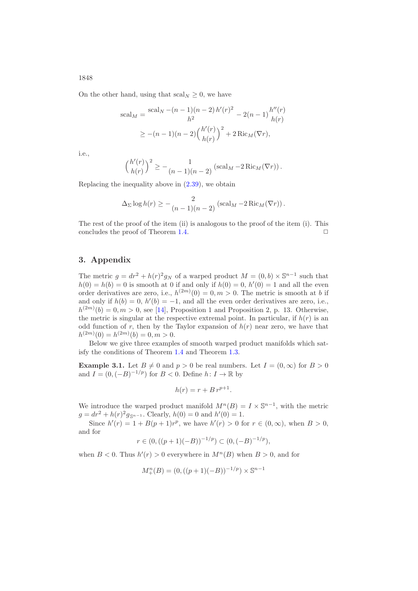On the other hand, using that  $\operatorname{scal}_N \geq 0$ , we have

$$
\text{scal}_M = \frac{\text{scal}_N - (n-1)(n-2) h'(r)^2}{h^2} - 2(n-1) \frac{h''(r)}{h(r)}
$$

$$
\geq -(n-1)(n-2) \left(\frac{h'(r)}{h(r)}\right)^2 + 2 \text{Ric}_M(\nabla r),
$$

i.e.,

$$
\left(\frac{h'(r)}{h(r)}\right)^2 \ge -\frac{1}{(n-1)(n-2)}\left(\mathrm{scal}_M - 2\,\mathrm{Ric}_M(\nabla r)\right).
$$

Replacing the inequality above in [\(2.39\)](#page-26-1), we obtain

$$
\Delta_{\Sigma} \log h(r) \geq -\frac{2}{(n-1)(n-2)} \left( \mathrm{scal}_M - 2 \,\mathrm{Ric}_M(\nabla r) \right).
$$

The rest of the proof of the item (ii) is analogous to the proof of the item (i). This concludes the proof of Theorem [1.4.](#page-9-0)  $\Box$ 

#### **3. Appendix**

The metric  $g = dr^2 + h(r)^2 g_N$  of a warped product  $M = (0, b) \times \mathbb{S}^{n-1}$  such that  $h(0) = h(b) = 0$  is smooth at 0 if and only if  $h(0) = 0$ ,  $h'(0) = 1$  and all the even order derivatives are zero, i.e.,  $h^{(2m)}(0) = 0, m > 0$ . The metric is smooth at b if and only if  $h(b) = 0$ ,  $h'(b) = -1$ , and all the even order derivatives are zero, i.e.,  $h^{(2m)}(b) = 0, m > 0$ , see [\[14\]](#page-30-15), Proposition 1 and Proposition 2, p. 13. Otherwise, the metric is singular at the respective extremal point. In particular, if  $h(r)$  is an odd function of r, then by the Taylor expansion of  $h(r)$  near zero, we have that  $h^{(2m)}(0) = h^{(2m)}(b) = 0, m > 0.$ 

Below we give three examples of smooth warped product manifolds which satisfy the conditions of Theorem [1.4](#page-9-0) and Theorem [1.3.](#page-6-0)

<span id="page-27-0"></span>**Example 3.1.** Let  $B \neq 0$  and  $p > 0$  be real numbers. Let  $I = (0, \infty)$  for  $B > 0$ and  $I = (0, (-B)^{-1/p})$  for  $B < 0$ . Define  $h: I \to \mathbb{R}$  by

$$
h(r) = r + B r^{p+1}.
$$

We introduce the warped product manifold  $M^{n}(B) = I \times \mathbb{S}^{n-1}$ , with the metric  $g = dr^2 + h(r)^2 g_{\mathbb{S}^{n-1}}$ . Clearly,  $h(0) = 0$  and  $h'(0) = 1$ .

Since  $h'(r) = 1 + B(p+1)r^p$ , we have  $h'(r) > 0$  for  $r \in (0, \infty)$ , when  $B > 0$ , and for

$$
r \in (0, ((p+1)(-B))^{-1/p}) \subset (0, (-B)^{-1/p}),
$$

when  $B < 0$ . Thus  $h'(r) > 0$  everywhere in  $M^{n}(B)$  when  $B > 0$ , and for

$$
M_{+}^{n}(B) = (0, ((p+1)(-B))^{-1/p}) \times \mathbb{S}^{n-1}
$$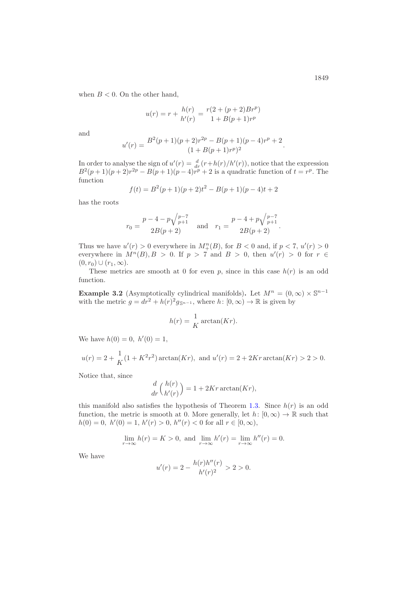when  $B < 0$ . On the other hand,

$$
u(r) = r + \frac{h(r)}{h'(r)} = \frac{r(2 + (p+2)Br^p)}{1 + B(p+1)r^p}
$$

and

$$
u'(r) = \frac{B^2(p+1)(p+2)r^{2p} - B(p+1)(p-4)r^p + 2}{(1 + B(p+1)r^p)^2}.
$$

In order to analyse the sign of  $u'(r) = \frac{d}{dr}(r+h(r)/h'(r))$ , notice that the expression  $B^{2}(p+1)(p+2)r^{2p} - B(p+1)(p-4)r^{p} + 2$  is a quadratic function of  $t = r^{p}$ . The function

$$
f(t) = B2(p + 1)(p + 2)t2 - B(p + 1)(p - 4)t + 2
$$

has the roots

$$
r_0 = \frac{p - 4 - p\sqrt{\frac{p-7}{p+1}}}{2B(p+2)} \quad \text{and} \quad r_1 = \frac{p - 4 + p\sqrt{\frac{p-7}{p+1}}}{2B(p+2)}.
$$

Thus we have  $u'(r) > 0$  everywhere in  $M_{+}^{n}(B)$ , for  $B < 0$  and, if  $p < 7$ ,  $u'(r) > 0$ everywhere in  $M^n(B), B > 0$ . If  $p > 7$  and  $B > 0$ , then  $u'(r) > 0$  for  $r \in$  $(0, r_0) \cup (r_1, \infty).$ 

These metrics are smooth at 0 for even p, since in this case  $h(r)$  is an odd function.

<span id="page-28-0"></span>**Example 3.2** (Asymptotically cylindrical manifolds). Let  $M^n = (0, \infty) \times \mathbb{S}^{n-1}$ with the metric  $g = dr^2 + h(r)^2 g_{\mathbb{S}^{n-1}}$ , where  $h: [0, \infty) \to \mathbb{R}$  is given by

$$
h(r) = \frac{1}{K} \arctan(Kr).
$$

We have  $h(0) = 0, h'(0) = 1$ ,

$$
u(r) = 2 + \frac{1}{K}(1 + K^2r^2) \arctan(Kr), \text{ and } u'(r) = 2 + 2Kr \arctan(Kr) > 2 > 0.
$$

Notice that, since

$$
\frac{d}{dr}\binom{h(r)}{h'(r)} = 1 + 2Kr \arctan(Kr),
$$

this manifold also satisfies the hypothesis of Theorem [1.3.](#page-6-0) Since  $h(r)$  is an odd function, the metric is smooth at 0. More generally, let  $h: [0, \infty) \to \mathbb{R}$  such that  $h(0) = 0, h'(0) = 1, h'(r) > 0, h''(r) < 0$  for all  $r \in [0, \infty)$ ,

$$
\lim_{r \to \infty} h(r) = K > 0, \text{ and } \lim_{r \to \infty} h'(r) = \lim_{r \to \infty} h''(r) = 0.
$$

We have

$$
u'(r) = 2 - \frac{h(r)h''(r)}{h'(r)^2} > 2 > 0.
$$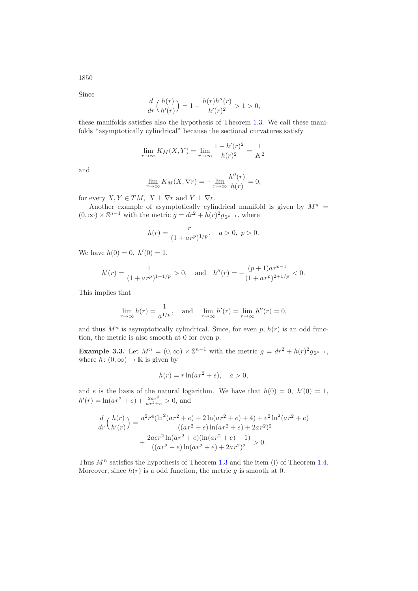1850

Since

$$
\frac{d}{dr}\binom{h(r)}{h'(r)} = 1 - \frac{h(r)h''(r)}{h'(r)^2} > 1 > 0,
$$

these manifolds satisfies also the hypothesis of Theorem [1.3.](#page-6-0) We call these manifolds "asymptotically cylindrical" because the sectional curvatures satisfy

$$
\lim_{r \to \infty} K_M(X, Y) = \lim_{r \to \infty} \frac{1 - h'(r)^2}{h(r)^2} = \frac{1}{K^2}
$$

and

$$
\lim_{r \to \infty} K_M(X, \nabla r) = -\lim_{r \to \infty} \frac{h''(r)}{h(r)} = 0,
$$

for every  $X, Y \in TM$ ,  $X \perp \nabla r$  and  $Y \perp \nabla r$ .

Another example of asymptotically cylindrical manifold is given by  $M^n =$  $(0, \infty) \times \mathbb{S}^{n-1}$  with the metric  $g = dr^2 + h(r)^2 g_{\mathbb{S}^{n-1}}$ , where

$$
h(r) = \frac{r}{(1 + ar^p)^{1/p}}, \quad a > 0, \ p > 0.
$$

We have  $h(0) = 0, h'(0) = 1$ ,

$$
h'(r) = \frac{1}{(1 + ar^p)^{1 + 1/p}} > 0, \text{ and } h''(r) = -\frac{(p+1)ar^{p-1}}{(1 + ar^p)^{2 + 1/p}} < 0.
$$

This implies that

$$
\lim_{r \to \infty} h(r) = \frac{1}{a^{1/p}}, \text{ and } \lim_{r \to \infty} h'(r) = \lim_{r \to \infty} h''(r) = 0,
$$

and thus  $M^n$  is asymptotically cylindrical. Since, for even p,  $h(r)$  is an odd function, the metric is also smooth at  $0$  for even  $p$ .

<span id="page-29-0"></span>**Example 3.3.** Let  $M^n = (0, \infty) \times \mathbb{S}^{n-1}$  with the metric  $g = dr^2 + h(r)^2 g_{\mathbb{S}^{n-1}}$ , where  $h: (0, \infty) \to \mathbb{R}$  is given by

$$
h(r) = r \ln(a r^2 + e), \quad a > 0,
$$

and e is the basis of the natural logarithm. We have that  $h(0) = 0$ ,  $h'(0) = 1$ ,  $h'(r) = \ln(ar^2 + e) + \frac{2ar^2}{ar^2 + e} > 0$ , and

$$
\frac{d}{dr}\binom{h(r)}{h'(r)} = \frac{a^2r^4(\ln^2(ar^2+e)+2\ln(ar^2+e)+4)+e^2\ln^2(ar^2+e)}{((ar^2+e)\ln(ar^2+e)+2ar^2)^2} + \frac{2aer^2\ln(ar^2+e)(\ln(ar^2+e)-1)}{((ar^2+e)\ln(ar^2+e)+2ar^2)^2} > 0.
$$

Thus  $M^n$  satisfies the hypothesis of Theorem [1.3](#page-6-0) and the item (i) of Theorem [1.4.](#page-9-0) Moreover, since  $h(r)$  is a odd function, the metric g is smooth at 0.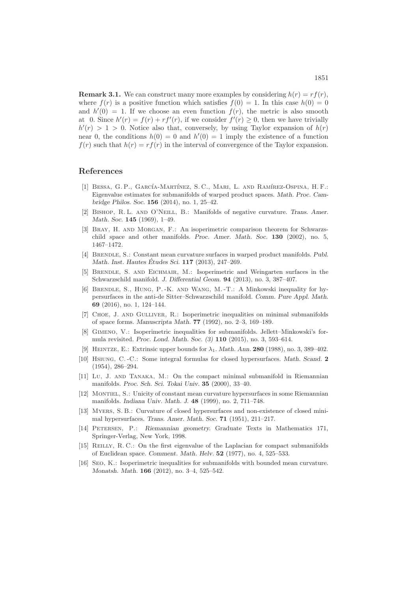**Remark 3.1.** We can construct many more examples by considering  $h(r) = rf(r)$ . where  $f(r)$  is a positive function which satisfies  $f(0) = 1$ . In this case  $h(0) = 0$ and  $h'(0) = 1$ . If we choose an even function  $f(r)$ , the metric is also smooth at 0. Since  $h'(r) = f(r) + rf'(r)$ , if we consider  $f'(r) \geq 0$ , then we have trivially  $h'(r) > 1 > 0$ . Notice also that, conversely, by using Taylor expansion of  $h(r)$ near 0, the conditions  $h(0) = 0$  and  $h'(0) = 1$  imply the existence of a function  $f(r)$  such that  $h(r) = rf(r)$  in the interval of convergence of the Taylor expansion.

### <span id="page-30-5"></span>**References**

- [1] BESSA, G.P., GARCÍA-MARTÍNEZ, S.C., MARI, L. AND RAMÍREZ-OSPINA, H.F.: Eigenvalue estimates for submanifolds of warped product spaces. *Math. Proc. Cambridge Philos. Soc.* **156** (2014), no. 1, 25–42.
- <span id="page-30-0"></span>[2] Bishop, R. L. and O'Neill, B.: Manifolds of negative curvature. *Trans. Amer. Math. Soc.* **145** (1969), 1–49.
- <span id="page-30-2"></span>[3] Bray, H. and Morgan, F.: An isoperimetric comparison theorem for Schwarzschild space and other manifolds. *Proc. Amer. Math. Soc.* **130** (2002), no. 5, 1467–1472.
- <span id="page-30-4"></span>[4] Brendle, S.: Constant mean curvature surfaces in warped product manifolds. *Publ. Math. Inst. Hautes Etudes Sci. ´* **117** (2013), 247–269.
- <span id="page-30-3"></span>[5] Brendle, S. and Eichmair, M.: Isoperimetric and Weingarten surfaces in the Schwarzschild manifold. *J. Differential Geom.* **94** (2013), no. 3, 387–407.
- <span id="page-30-7"></span>[6] Brendle, S., Hung, P. -K. and Wang, M. -T.: A Minkowski inequality for hypersurfaces in the anti-de Sitter–Schwarzschild manifold. *Comm. Pure Appl. Math.* **69** (2016), no. 1, 124–144.
- <span id="page-30-8"></span>[7] Choe, J. and Gulliver, R.: Isoperimetric inequalities on minimal submanifolds of space forms. *Manuscripta Math.* **77** (1992), no. 2–3, 169–189.
- <span id="page-30-6"></span>[8] Gimeno, V.: Isoperimetric inequalities for submanifolds. Jellett–Minkowski's formula revisited. *Proc. Lond. Math. Soc. (3)* **110** (2015), no. 3, 593–614.
- <span id="page-30-12"></span><span id="page-30-10"></span>[9] Heintze, E.: Extrinsic upper bounds for λ1. *Math. Ann.* **280** (1988), no. 3, 389–402.
- [10] Hsiung, C. -C.: Some integral formulas for closed hypersurfaces. *Math. Scand.* **2** (1954), 286–294.
- <span id="page-30-14"></span>[11] Lu, J. and Tanaka, M.: On the compact minimal submanifold in Riemannian manifolds. *Proc. Sch. Sci. Tokai Univ.* **35** (2000), 33–40.
- <span id="page-30-1"></span>[12] Montiel, S.: Unicity of constant mean curvature hypersurfaces in some Riemannian manifolds. *Indiana Univ. Math. J.* **48** (1999), no. 2, 711–748.
- <span id="page-30-13"></span>[13] Myers, S. B.: Curvature of closed hypersurfaces and non-existence of closed minimal hypersurfaces. *Trans. Amer. Math. Soc.* **71** (1951), 211–217.
- <span id="page-30-15"></span>[14] Petersen, P.: *Riemannian geometry.* Graduate Texts in Mathematics 171, Springer-Verlag, New York, 1998.
- <span id="page-30-11"></span>[15] Reilly, R. C.: On the first eigenvalue of the Laplacian for compact submanifolds of Euclidean space. *Comment. Math. Helv.* **52** (1977), no. 4, 525–533.
- <span id="page-30-9"></span>[16] Seo, K.: Isoperimetric inequalities for submanifolds with bounded mean curvature. *Monatsh. Math.* **166** (2012), no. 3–4, 525–542.